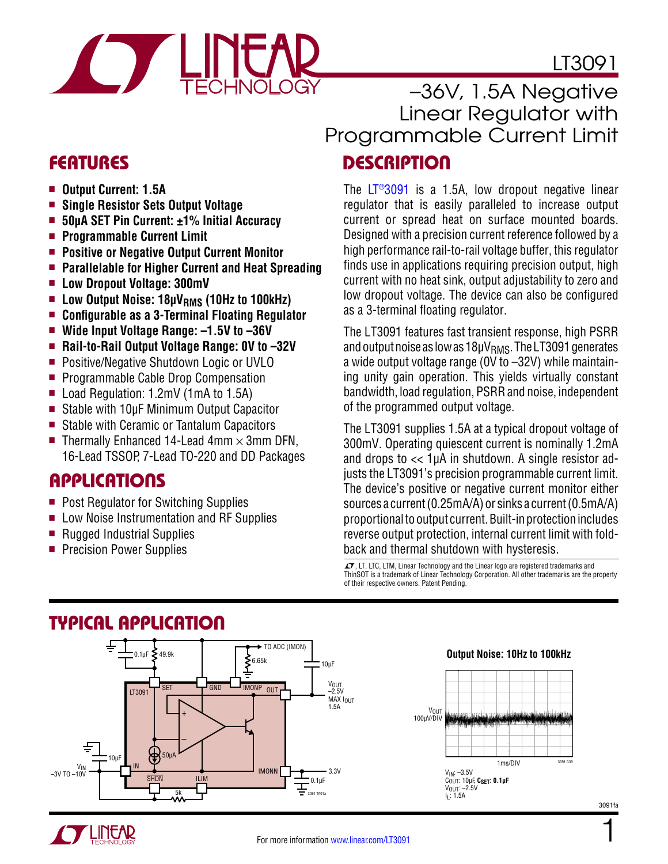# LT3091



Features Description –36V, 1.5A Negative Linear Regulator with Programmable Current Limit

- **n** Output Current: 1.5A
- <sup>n</sup> **Single Resistor Sets Output Voltage**
- 50µA SET Pin Current: ±1% Initial Accuracy
- **n** Programmable Current Limit
- <sup>n</sup> **Positive or Negative Output Current Monitor**
- **E** Parallelable for Higher Current and Heat Spreading
- Low Dropout Voltage: 300mV
- Low Output Noise: 18µV<sub>RMS</sub> (10Hz to 100kHz)
- Configurable as a 3-Terminal Floating Regulator
- Wide Input Voltage Range:  $-1.5V$  to  $-36V$
- Rail-to-Rail Output Voltage Range: 0V to -32V
- Positive/Negative Shutdown Logic or UVLO
- Programmable Cable Drop Compensation
- Load Regulation: 1.2mV (1mA to 1.5A)
- Stable with 10µF Minimum Output Capacitor
- Stable with Ceramic or Tantalum Capacitors
- Thermally Enhanced 14-Lead 4mm  $\times$  3mm DFN, 16-Lead TSSOP, 7-Lead TO-220 and DD Packages

### Applications

- Post Regulator for Switching Supplies
- $\blacksquare$  Low Noise Instrumentation and RF Supplies
- Rugged Industrial Supplies
- **Precision Power Supplies**

The  $LT@3091$  is a 1.5A, low dropout negative linear regulator that is easily paralleled to increase output current or spread heat on surface mounted boards. Designed with a precision current reference followed by a high performance rail-to-rail voltage buffer, this regulator finds use in applications requiring precision output, high current with no heat sink, output adjustability to zero and low dropout voltage. The device can also be configured as a 3-terminal floating regulator.

The LT3091 features fast transient response, high PSRR and output noise as low as  $18\mu V_{RMS}$ . The LT3091 generates a wide output voltage range (0V to –32V) while maintaining unity gain operation. This yields virtually constant bandwidth, load regulation, PSRR and noise, independent of the programmed output voltage.

The LT3091 supplies 1.5A at a typical dropout voltage of 300mV. Operating quiescent current is nominally 1.2mA and drops to << 1µA in shutdown. A single resistor adjusts the LT3091's precision programmable current limit. The device's positive or negative current monitor either sources a current (0.25mA/A) or sinks a current (0.5mA/A) proportional to output current. Built-in protection includes reverse output protection, internal current limit with foldback and thermal shutdown with hysteresis.

 $LT$ , LT, LTC, LTM, Linear Technology and the Linear logo are registered trademarks and ThinSOT is a trademark of Linear Technology Corporation. All other trademarks are the property of their respective owners. Patent Pending.



# Typical Application



1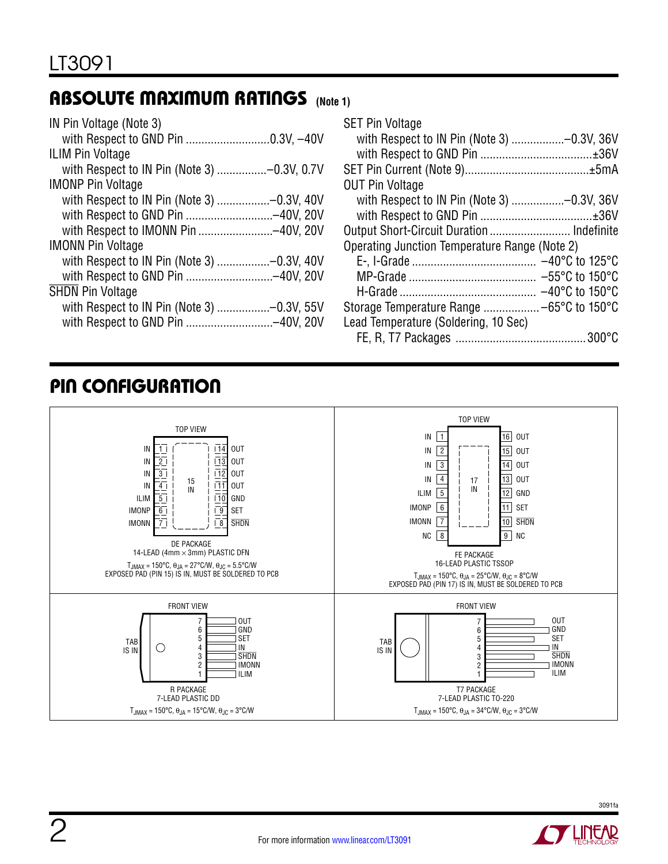# Absolute Maximum Ratings **(Note 1)**

| IN Pin Voltage (Note 3)                     |  |
|---------------------------------------------|--|
|                                             |  |
| <b>ILIM Pin Voltage</b>                     |  |
| with Respect to IN Pin (Note 3) -0.3V, 0.7V |  |
| <b>IMONP</b> Pin Voltage                    |  |
| with Respect to IN Pin (Note 3) -0.3V, 40V  |  |
|                                             |  |
|                                             |  |
| <b>IMONN Pin Voltage</b>                    |  |
| with Respect to IN Pin (Note 3) -0.3V, 40V  |  |
|                                             |  |
| <b>SHDN Pin Voltage</b>                     |  |
| with Respect to IN Pin (Note 3) -0.3V, 55V  |  |
|                                             |  |
|                                             |  |

| <b>SET Pin Voltage</b>                        |  |
|-----------------------------------------------|--|
| with Respect to IN Pin (Note 3) -0.3V, 36V    |  |
|                                               |  |
|                                               |  |
| <b>OUT Pin Voltage</b>                        |  |
| with Respect to IN Pin (Note 3) -0.3V, 36V    |  |
|                                               |  |
| Output Short-Circuit Duration Indefinite      |  |
| Operating Junction Temperature Range (Note 2) |  |
|                                               |  |
|                                               |  |
|                                               |  |
|                                               |  |
| Lead Temperature (Soldering, 10 Sec)          |  |
|                                               |  |

# Pin Configuration



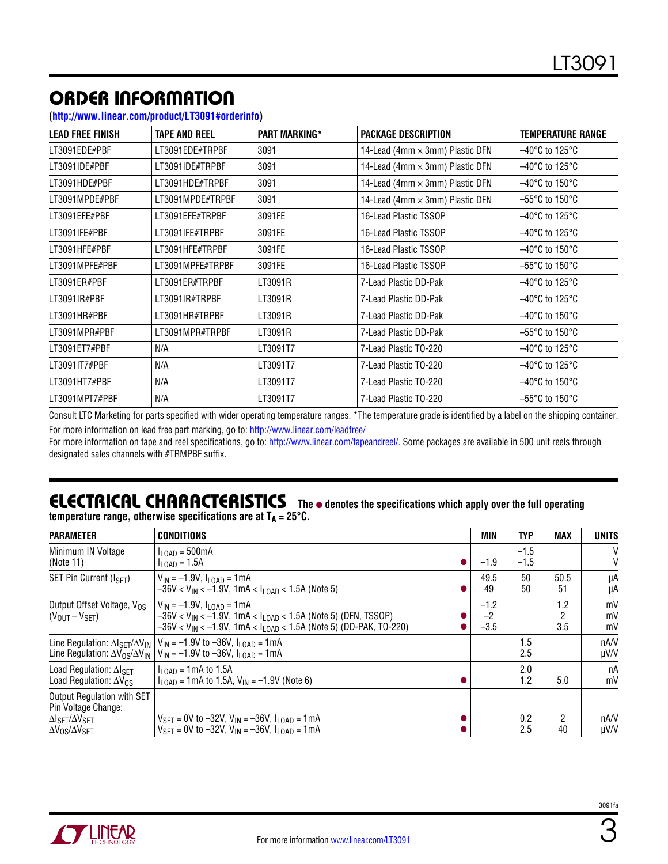# ORDER INFORMATION

#### **[\(http://www.linear.com/product/LT3091#orderinfo\)](http://www.linear.com/product/LT3091#orderinfo)**

| LEAD FREE FINISH | <b>TAPE AND REEL</b> | <b>PART MARKING*</b> | PACKAGE DESCRIPTION                    | <b>TEMPERATURE RANGE</b>            |
|------------------|----------------------|----------------------|----------------------------------------|-------------------------------------|
| LT3091EDE#PBF    | LT3091EDE#TRPBF      | 3091                 | 14-Lead (4mm $\times$ 3mm) Plastic DFN | $-40^{\circ}$ C to 125 $^{\circ}$ C |
| LT3091IDE#PBF    | LT3091IDE#TRPBF      | 3091                 | 14-Lead (4mm $\times$ 3mm) Plastic DFN | $-40^{\circ}$ C to 125 $^{\circ}$ C |
| LT3091HDE#PBF    | LT3091HDE#TRPBF      | 3091                 | 14-Lead (4mm $\times$ 3mm) Plastic DFN | $-40^{\circ}$ C to 150 $^{\circ}$ C |
| LT3091MPDE#PBF   | LT3091MPDE#TRPBF     | 3091                 | 14-Lead (4mm $\times$ 3mm) Plastic DFN | $-55^{\circ}$ C to 150 $^{\circ}$ C |
| LT3091EFE#PBF    | LT3091EFE#TRPBF      | 3091FE               | 16-Lead Plastic TSSOP                  | $-40^{\circ}$ C to 125 $^{\circ}$ C |
| LT3091IFE#PBF    | LT3091IFE#TRPBF      | 3091FE               | 16-Lead Plastic TSSOP                  | $-40^{\circ}$ C to 125 $^{\circ}$ C |
| LT3091HFE#PBF    | LT3091HFE#TRPBF      | 3091FE               | 16-Lead Plastic TSSOP                  | $-40^{\circ}$ C to 150 $^{\circ}$ C |
| LT3091MPFE#PBF   | LT3091MPFE#TRPBF     | 3091FE               | 16-Lead Plastic TSSOP                  | $-55^{\circ}$ C to 150 $^{\circ}$ C |
| LT3091ER#PBF     | LT3091ER#TRPBF       | LT3091R              | 7-Lead Plastic DD-Pak                  | $-40^{\circ}$ C to 125 $^{\circ}$ C |
| LT3091IR#PBF     | LT3091IR#TRPBF       | LT3091R              | 7-Lead Plastic DD-Pak                  | $-40^{\circ}$ C to 125 $^{\circ}$ C |
| LT3091HR#PBF     | LT3091HR#TRPBF       | LT3091R              | 7-Lead Plastic DD-Pak                  | –40°C to 150°C                      |
| LT3091MPR#PBF    | LT3091MPR#TRPBF      | LT3091R              | 7-Lead Plastic DD-Pak                  | $-55^{\circ}$ C to 150 $^{\circ}$ C |
| LT3091ET7#PBF    | N/A                  | LT3091T7             | 7-Lead Plastic TO-220                  | $-40^{\circ}$ C to 125 $^{\circ}$ C |
| LT3091IT7#PBF    | N/A                  | LT3091T7             | 7-Lead Plastic TO-220                  | $-40^{\circ}$ C to 125 $^{\circ}$ C |
| LT3091HT7#PBF    | N/A                  | LT3091T7             | 7-Lead Plastic TO-220                  | $-40^{\circ}$ C to 150 $^{\circ}$ C |
| LT3091MPT7#PBF   | N/A                  | LT3091T7             | 7-Lead Plastic TO-220                  | $-55^{\circ}$ C to 150 $^{\circ}$ C |

Consult LTC Marketing for parts specified with wider operating temperature ranges. \*The temperature grade is identified by a label on the shipping container. For more information on lead free part marking, go to:<http://www.linear.com/leadfree/>

For more information on tape and reel specifications, go to: <http://www.linear.com/tapeandreel/>. Some packages are available in 500 unit reels through designated sales channels with #TRMPBF suffix.

#### **ELECTRICAL CHARACTERISTICS** The  $\bullet$  denotes the specifications which apply over the full operating **temperature range, otherwise specifications are at TA = 25°C.**

| <b>PARAMETER</b>                                                                                                                           | CONDITIONS                                                                                                                                                                                                                | MIN                      | TYP              | <b>MAX</b>      | <b>UNITS</b>   |
|--------------------------------------------------------------------------------------------------------------------------------------------|---------------------------------------------------------------------------------------------------------------------------------------------------------------------------------------------------------------------------|--------------------------|------------------|-----------------|----------------|
| Minimum IN Voltage<br>(Note 11)                                                                                                            | $I_{\text{LOAD}} = 500 \text{mA}$<br>$I_{\text{LOAD}} = 1.5A$                                                                                                                                                             | $-1.9$                   | $-1.5$<br>$-1.5$ |                 | V<br>V         |
| SET Pin Current (ISET)                                                                                                                     | $V_{IN} = -1.9V$ , $I_{LOAD} = 1mA$<br>$-36V < V_{IN} < -1.9V$ , 1mA < $I_{LOAD} < 1.5A$ (Note 5)                                                                                                                         | 49.5<br>49               | 50<br>50         | 50.5<br>51      | μA<br>μA       |
| Output Offset Voltage, V <sub>OS</sub><br>$(V_{\text{OUT}} - V_{\text{SET}})$                                                              | $V_{IN} = -1.9V$ , $I_{I, OAD} = 1mA$<br>$-36V < V_{1N} < -1.9V$ , 1mA < $I_{1.0AD} < 1.5A$ (Note 5) (DFN, TSSOP)<br>$-36V < V_{IN} < -1.9V$ , 1mA < $I_{LOAD} < 1.5A$ (Note 5) (DD-PAK, TO-220)                          | $-1.2$<br>$-2$<br>$-3.5$ |                  | 1.2<br>2<br>3.5 | mV<br>mV<br>mV |
|                                                                                                                                            | Line Regulation: $\Delta I_{\text{SET}}/\Delta V_{\text{IN}}$   V <sub>IN</sub> = -1.9V to -36V, I <sub>LOAD</sub> = 1mA<br>Line Regulation: $\Delta V_{OS}/\Delta V_{IN}$   $V_{IN}$ = -1.9V to -36V, $I_{I, OAD}$ = 1mA |                          | 1.5<br>2.5       |                 | nAVV<br>µV/V   |
| Load Regulation: $\Delta l_{\text{SFT}}$<br>Load Regulation: $\Delta V_{OS}$                                                               | $I_{\text{LOAD}}$ = 1 mA to 1.5A<br>$I_{\text{LOAD}}$ = 1 mA to 1.5A, $V_{\text{IN}}$ = -1.9V (Note 6)                                                                                                                    |                          | 2.0<br>1.2       | 5.0             | nA<br>mV       |
| Output Regulation with SET<br>Pin Voltage Change:<br>$\Delta$ <sub>SET</sub> / $\Delta$ V <sub>SET</sub><br>$\Delta V_{OS}/\Delta V_{SET}$ | $V_{\text{SFT}}$ = 0V to -32V, $V_{\text{IN}}$ = -36V, $I_{\text{I OAD}}$ = 1mA<br>$V_{\text{SFT}}$ = 0V to -32V, $V_{\text{IN}}$ = -36V, $I_{\text{I OAD}}$ = 1mA                                                        |                          | 0.2<br>2.5       | 2<br>40         | nA/V<br>µV/V   |



3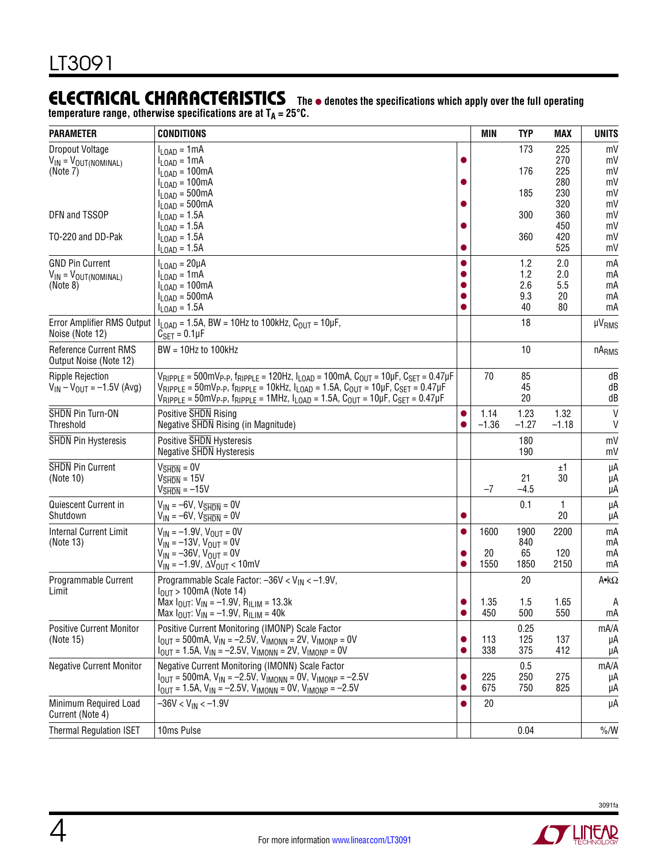### **ELECTRICAL CHARACTERISTICS** The  $\bullet$  denotes the specifications which apply over the full operating

temperature range, otherwise specifications are at T<sub>A</sub> = 25°C.

| <b>PARAMETER</b>                                                  | <b>CONDITIONS</b>                                                                                                                                                                                                                                                                                                                                                                                                        |                        | <b>MIN</b>         | <b>TYP</b>                     | MAX                           | <b>UNITS</b>                 |
|-------------------------------------------------------------------|--------------------------------------------------------------------------------------------------------------------------------------------------------------------------------------------------------------------------------------------------------------------------------------------------------------------------------------------------------------------------------------------------------------------------|------------------------|--------------------|--------------------------------|-------------------------------|------------------------------|
| <b>Dropout Voltage</b><br>$V_{IN} = V_{OUT(NOMINAL)}$             | $I_{LOAD} = 1mA$<br>$I_{LOAD} = 1mA$                                                                                                                                                                                                                                                                                                                                                                                     | $\bullet$              |                    | 173                            | 225<br>270                    | mV<br>mV                     |
| (Note 7)                                                          | $I_{LOAD} = 100mA$<br>$I_{LOAD} = 100mA$<br>$I_{LOAD} = 500mA$<br>$I_{LOAD} = 500mA$                                                                                                                                                                                                                                                                                                                                     |                        |                    | 176<br>185                     | 225<br>280<br>230<br>320      | mV<br>mV<br>mV<br>mV         |
| DFN and TSSOP                                                     | $I_{LOAD} = 1.5A$<br>$I_{\text{LOAD}} = 1.5A$                                                                                                                                                                                                                                                                                                                                                                            | O                      |                    | 300                            | 360<br>450                    | mV<br>mV                     |
| TO-220 and DD-Pak                                                 | $I_{LOAD} = 1.5A$<br>$I_{LOAD} = 1.5A$                                                                                                                                                                                                                                                                                                                                                                                   |                        |                    | 360                            | 420<br>525                    | mV<br>mV                     |
| <b>GND Pin Current</b><br>$V_{IN} = V_{OUT(NOMINAL)}$<br>(Note 8) | $I_{LOAD} = 20 \mu A$<br>I <sub>LOAD</sub> = 1mA<br>$I_{LOAD} = 100mA$<br>$I_{\text{LOAD}} = 500 \text{mA}$<br>$I_{LOAD} = 1.5A$                                                                                                                                                                                                                                                                                         | 0                      |                    | 1.2<br>1.2<br>2.6<br>9.3<br>40 | 2.0<br>2.0<br>5.5<br>20<br>80 | mA<br>mA<br>mA<br>mA<br>mA   |
| Error Amplifier RMS Output<br>Noise (Note 12)                     | $I_{\text{LOAD}}$ = 1.5A, BW = 10Hz to 100kHz, $C_{\text{OUT}}$ = 10µF,<br>$C_{\text{SET}} = 0.1 \mu F$                                                                                                                                                                                                                                                                                                                  |                        |                    | 18                             |                               | <b>µVRMS</b>                 |
| Reference Current RMS<br>Output Noise (Note 12)                   | $BW = 10Hz$ to 100kHz                                                                                                                                                                                                                                                                                                                                                                                                    |                        |                    | 10                             |                               | nA <sub>RMS</sub>            |
| <b>Ripple Rejection</b><br>$V_{IN} - V_{OUT} = -1.5V$ (Avg)       | $V_{RIPPLE}$ = 500mVp.p, $f_{RIPPLE}$ = 120Hz, $I_{LOAD}$ = 100mA, $C_{OUT}$ = 10µF, $C_{SET}$ = 0.47µF<br>$V_{\text{RIPPLE}} = 50 \text{mV}_{\text{P-P}}$ , f <sub>RIPPLE</sub> = 10kHz, I <sub>LOAD</sub> = 1.5A, C <sub>OUT</sub> = 10µF, C <sub>SET</sub> = 0.47µF<br>$V_{RIPPLE} = 50$ mV <sub>P-P</sub> , f <sub>RIPPLE</sub> = 1MHz, I <sub>LOAD</sub> = 1.5A, C <sub>OUT</sub> = 10µF, C <sub>SET</sub> = 0.47µF |                        | 70                 | 85<br>45<br>20                 |                               | dB<br>dB<br>dB               |
| SHDN Pin Turn-ON<br>Threshold                                     | Positive SHDN Rising<br>Negative SHDN Rising (in Magnitude)                                                                                                                                                                                                                                                                                                                                                              | $\bullet$<br>$\bullet$ | 1.14<br>$-1.36$    | 1.23<br>$-1.27$                | 1.32<br>$-1.18$               | $\mathsf{V}$<br>V            |
| <b>SHDN</b> Pin Hysteresis                                        | Positive SHDN Hysteresis<br><b>Negative SHDN Hysteresis</b>                                                                                                                                                                                                                                                                                                                                                              |                        |                    | 180<br>190                     |                               | mV<br>mV                     |
| <b>SHDN</b> Pin Current<br>(Note 10)                              | $V_{\overline{\text{SHDN}}} = 0V$<br>$V_{\overline{\text{SHDN}}} = 15V$<br>$V_{\overline{\text{SHDN}}}$ = $-15V$                                                                                                                                                                                                                                                                                                         |                        | $-7$               | 21<br>$-4.5$                   | ±1<br>30                      | μA<br>μA<br>μA               |
| Quiescent Current in<br>Shutdown                                  | $V_{IN} = -6V$ , $V_{\overline{SHDN}} = 0V$<br>$V_{IN} = -6V$ , $V_{\overline{SHDN}} = 0V$                                                                                                                                                                                                                                                                                                                               |                        |                    | 0.1                            | $\mathbf{1}$<br>20            | μA<br>μA                     |
| <b>Internal Current Limit</b><br>(Note 13)                        | $V_{IN} = -1.9V$ , $V_{OUT} = 0V$<br>$V_{IN} = -13V$ , $V_{OUT} = 0V$<br>$V_{IN} = -36V$ , $V_{OUT} = 0V$<br>$V_{IN} = -1.9V$ , $\Delta V_{OUT} < 10$ mV                                                                                                                                                                                                                                                                 | 0<br>●<br>O            | 1600<br>20<br>1550 | 1900<br>840<br>65<br>1850      | 2200<br>120<br>2150           | mA<br>mA<br>mA<br>mA         |
| Programmable Current<br>Limit                                     | Programmable Scale Factor: -36V < V <sub>IN</sub> < -1.9V,<br>$I_{\text{OUT}}$ > 100mA (Note 14)<br>Max $I_{OUT}$ : $V_{IN} = -1.9V$ , $R_{ILIM} = 13.3k$<br>Max $I_{OUT}$ : $V_{IN} = -1.9V$ , $R_{ILIM} = 40k$                                                                                                                                                                                                         |                        | 1.35<br>450        | 20<br>1.5<br>500               | 1.65<br>550                   | $A \cdot k\Omega$<br>A<br>mA |
| <b>Positive Current Monitor</b><br>(Note 15)                      | Positive Current Monitoring (IMONP) Scale Factor<br>$I_{\text{OUT}} = 500 \text{mA}, V_{\text{IN}} = -2.5V, V_{\text{IMONN}} = 2V, V_{\text{IMONP}} = 0V$<br>$I_{OUT} = 1.5A$ , $V_{IN} = -2.5V$ , $V_{IMONN} = 2V$ , $V_{IMONP} = 0V$                                                                                                                                                                                   | 0<br>$\bullet$         | 113<br>338         | 0.25<br>125<br>375             | 137<br>412                    | mA/A<br>μA<br>μA             |
| <b>Negative Current Monitor</b>                                   | Negative Current Monitoring (IMONN) Scale Factor<br>$I_{\text{OUT}}$ = 500mA, $V_{\text{IN}}$ = -2.5V, $V_{\text{IMONN}}$ = 0V, $V_{\text{IMONP}}$ = -2.5V<br>I <sub>OUT</sub> = 1.5A, V <sub>IN</sub> = -2.5V, V <sub>IMONN</sub> = 0V, V <sub>IMONP</sub> = -2.5V                                                                                                                                                      | ●<br>0                 | 225<br>675         | 0.5<br>250<br>750              | 275<br>825                    | mA/A<br>μA<br>μA             |
| Minimum Required Load<br>Current (Note 4)                         | $-36V < V_{IN} < -1.9V$                                                                                                                                                                                                                                                                                                                                                                                                  | $\bullet$              | 20                 |                                |                               | μA                           |
| <b>Thermal Regulation ISET</b>                                    | 10ms Pulse                                                                                                                                                                                                                                                                                                                                                                                                               |                        |                    | 0.04                           |                               | $\%$ /W                      |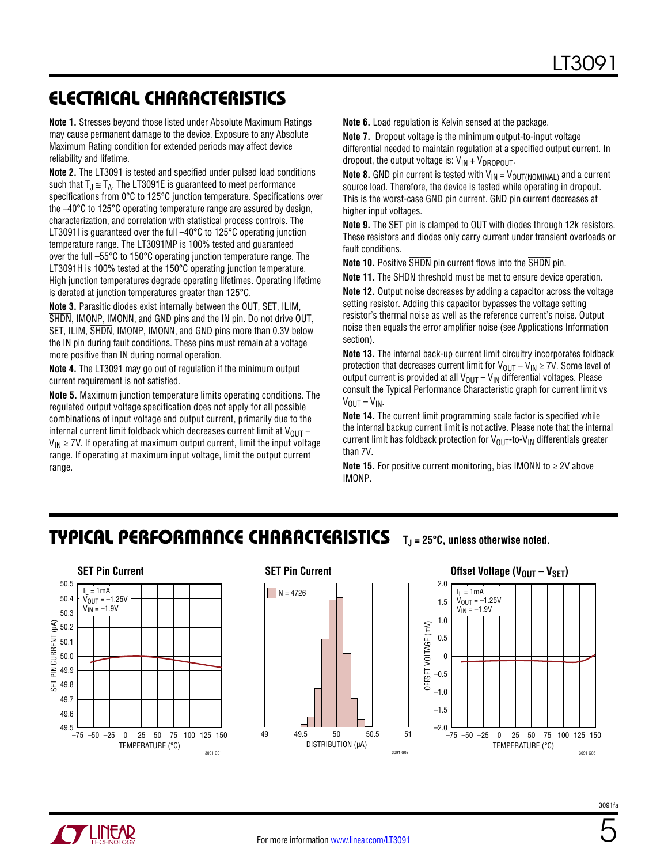# Electrical Characteristics

**Note 1.** Stresses beyond those listed under Absolute Maximum Ratings may cause permanent damage to the device. Exposure to any Absolute Maximum Rating condition for extended periods may affect device reliability and lifetime.

**Note 2.** The LT3091 is tested and specified under pulsed load conditions such that  $T_J \approx T_A$ . The LT3091E is guaranteed to meet performance specifications from 0°C to 125°C junction temperature. Specifications over the –40°C to 125°C operating temperature range are assured by design, characterization, and correlation with statistical process controls. The LT3091I is guaranteed over the full -40°C to 125°C operating junction temperature range. The LT3091MP is 100% tested and guaranteed over the full –55°C to 150°C operating junction temperature range. The LT3091H is 100% tested at the 150°C operating junction temperature. High junction temperatures degrade operating lifetimes. Operating lifetime is derated at junction temperatures greater than 125°C.

**Note 3.** Parasitic diodes exist internally between the OUT, SET, ILIM, SHDN, IMONP, IMONN, and GND pins and the IN pin. Do not drive OUT, SET, ILIM, SHDN, IMONP, IMONN, and GND pins more than 0.3V below the IN pin during fault conditions. These pins must remain at a voltage more positive than IN during normal operation.

**Note 4.** The LT3091 may go out of regulation if the minimum output current requirement is not satisfied.

**Note 5.** Maximum junction temperature limits operating conditions. The regulated output voltage specification does not apply for all possible combinations of input voltage and output current, primarily due to the internal current limit foldback which decreases current limit at  $V_{\text{OUT}}$  –  $V_{\text{IN}}$   $\geq$  7V. If operating at maximum output current, limit the input voltage range. If operating at maximum input voltage, limit the output current range.

**Note 6.** Load regulation is Kelvin sensed at the package.

**Note 7.** Dropout voltage is the minimum output-to-input voltage differential needed to maintain regulation at a specified output current. In dropout, the output voltage is:  $V_{IN}$  +  $V_{DROPOUT}$ .

**Note 8.** GND pin current is tested with  $V_{IN} = V_{OUT(NOMINAL)}$  and a current source load. Therefore, the device is tested while operating in dropout. This is the worst-case GND pin current. GND pin current decreases at higher input voltages.

**Note 9.** The SET pin is clamped to OUT with diodes through 12k resistors. These resistors and diodes only carry current under transient overloads or fault conditions.

**Note 10.** Positive SHDN pin current flows into the SHDN pin.

**Note 11.** The SHDN threshold must be met to ensure device operation.

**Note 12.** Output noise decreases by adding a capacitor across the voltage setting resistor. Adding this capacitor bypasses the voltage setting resistor's thermal noise as well as the reference current's noise. Output noise then equals the error amplifier noise (see Applications Information section).

**Note 13.** The internal back-up current limit circuitry incorporates foldback protection that decreases current limit for  $V_{OUT} - V_{IN} \ge 7V$ . Some level of output current is provided at all  $V_{OUT} - V_{IN}$  differential voltages. Please consult the Typical Performance Characteristic graph for current limit vs  $V_{OUT} - V_{IN}$ .

**Note 14.** The current limit programming scale factor is specified while the internal backup current limit is not active. Please note that the internal current limit has foldback protection for  $V_{\text{OUT}}$ -to- $V_{\text{IN}}$  differentials greater than 7V.

**Note 15.** For positive current monitoring, bias IMONN to ≥ 2V above IMONP.

# **TYPICAL PERFORMANCE CHARACTERISTICS** TJ = 25°C, unless otherwise noted.







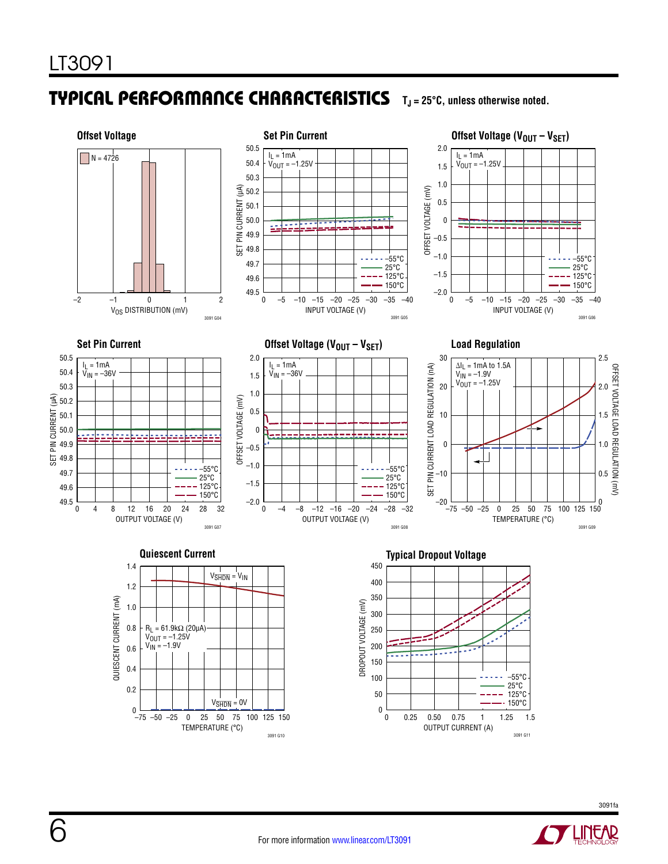# Typical Performance Characteristics **TJ = 25°C, unless otherwise noted.**

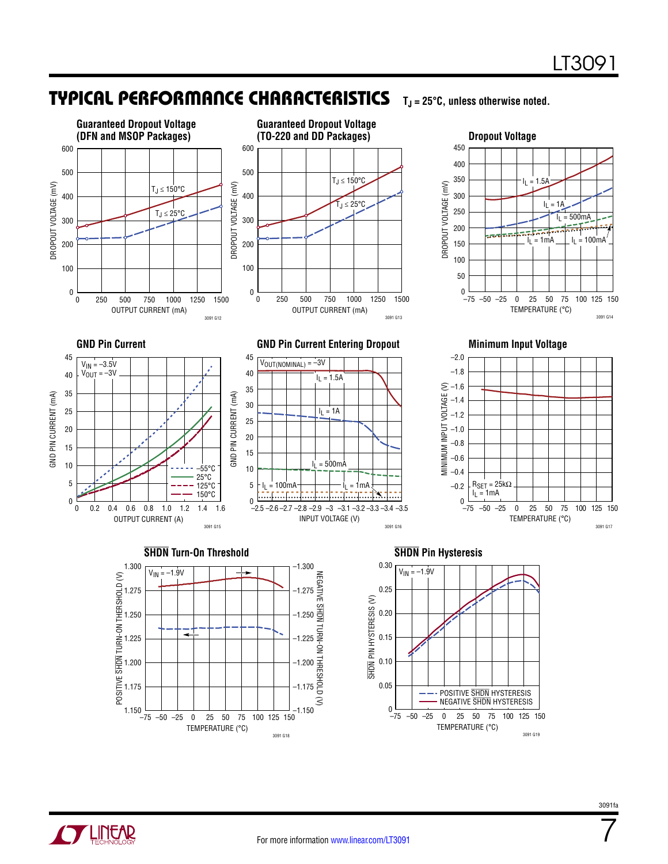### Typical Performance Characteristics





7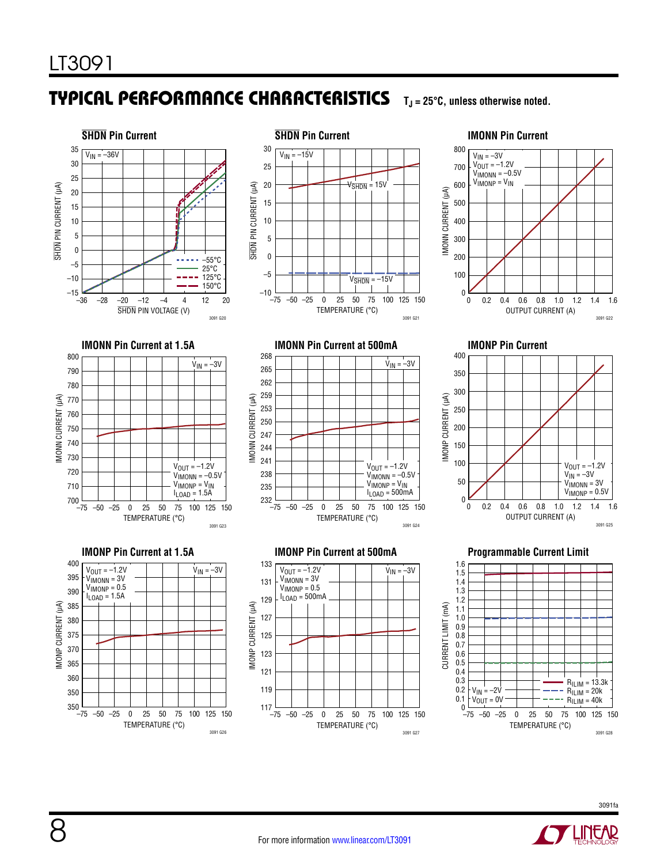# TYPICAL PERFORMANCE CHARACTERISTICS TJ = 25°C, unless otherwise noted.



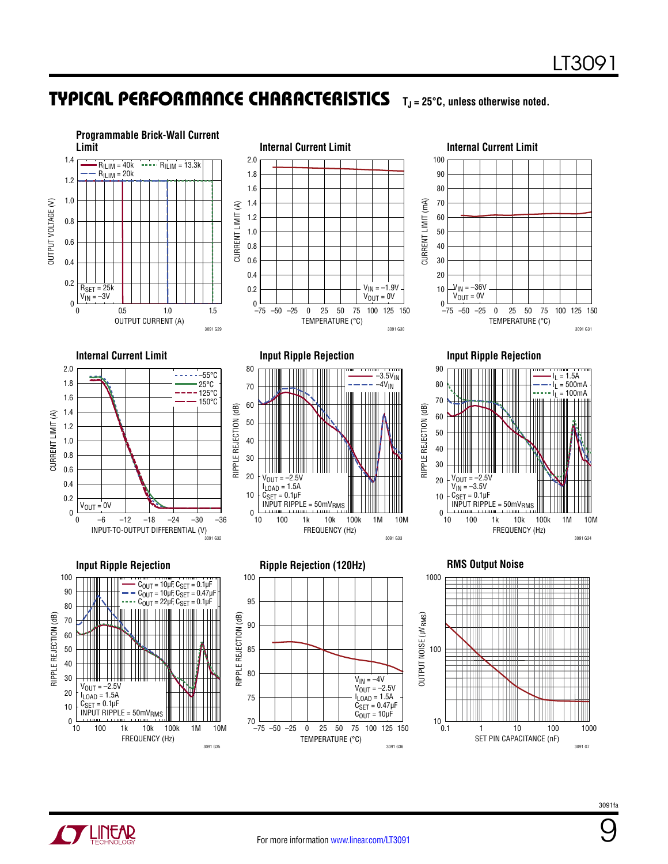### **TYPICAL PERFORMANCE CHARACTERISTICS** TJ = 25°C, unless otherwise noted.







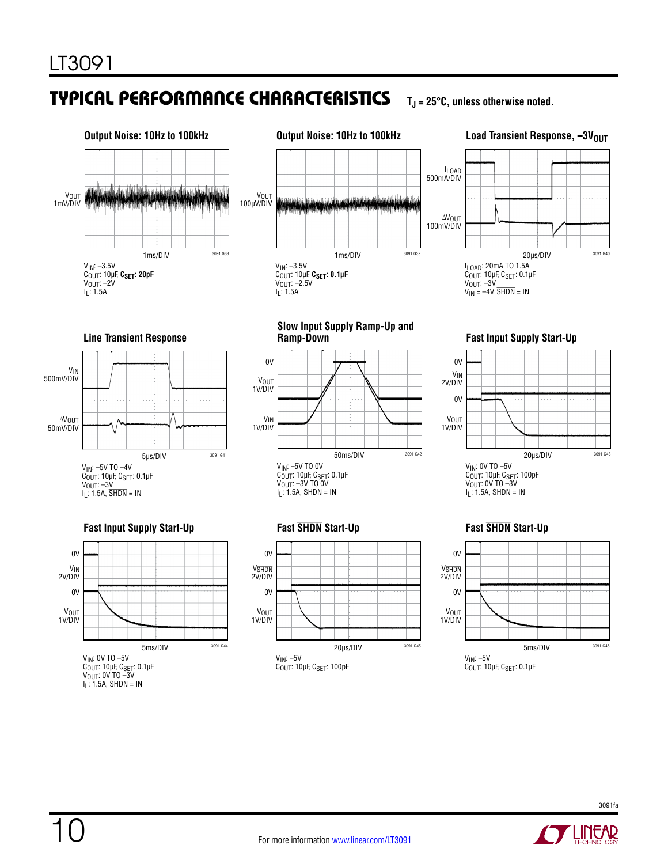# **TYPICAL PERFORMANCE CHARACTERISTICS** TJ = 25°C, unless otherwise noted.



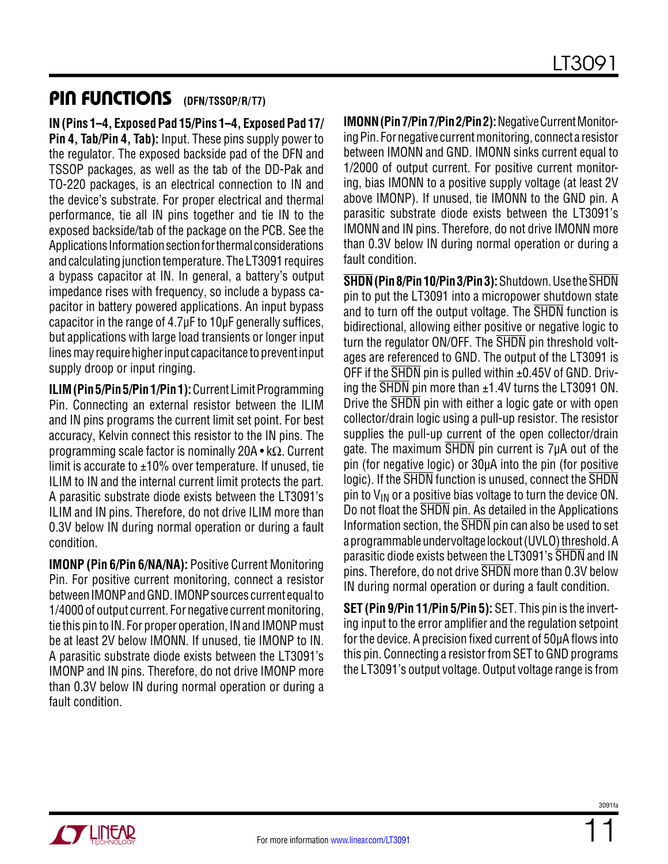### PIN FUNCTIONS (DFN/TSSOP/R/T7)

**IN (Pins 1–4, Exposed Pad 15/Pins 1–4, Exposed Pad 17/ Pin 4, Tab/Pin 4, Tab):** Input. These pins supply power to the regulator. The exposed backside pad of the DFN and TSSOP packages, as well as the tab of the DD-Pak and TO-220 packages, is an electrical connection to IN and the device's substrate. For proper electrical and thermal performance, tie all IN pins together and tie IN to the exposed backside/tab of the package on the PCB. See the Applications Information section for thermal considerations and calculating junction temperature. The LT3091 requires a bypass capacitor at IN. In general, a battery's output impedance rises with frequency, so include a bypass capacitor in battery powered applications. An input bypass capacitor in the range of 4.7µF to 10µF generally suffices, but applications with large load transients or longer input lines may require higher input capacitance to prevent input supply droop or input ringing.

**ILIM (Pin 5/Pin 5/Pin 1/Pin 1):** Current Limit Programming Pin. Connecting an external resistor between the ILIM and IN pins programs the current limit set point. For best accuracy, Kelvin connect this resistor to the IN pins. The programming scale factor is nominally 20A • kΩ. Current limit is accurate to  $\pm 10\%$  over temperature. If unused, tie ILIM to IN and the internal current limit protects the part. A parasitic substrate diode exists between the LT3091's ILIM and IN pins. Therefore, do not drive ILIM more than 0.3V below IN during normal operation or during a fault condition.

**IMONP (Pin 6/Pin 6/NA/NA):** Positive Current Monitoring Pin. For positive current monitoring, connect a resistor between IMONP and GND. IMONP sources current equal to 1/4000 of output current. For negative current monitoring, tie this pin to IN. For proper operation, IN and IMONP must be at least 2V below IMONN. If unused, tie IMONP to IN. A parasitic substrate diode exists between the LT3091's IMONP and IN pins. Therefore, do not drive IMONP more than 0.3V below IN during normal operation or during a fault condition.

**IMONN (Pin 7/Pin 7/Pin 2/Pin 2):** Negative Current Monitoring Pin. For negative current monitoring, connect a resistor between IMONN and GND. IMONN sinks current equal to 1/2000 of output current. For positive current monitoring, bias IMONN to a positive supply voltage (at least 2V above IMONP). If unused, tie IMONN to the GND pin. A parasitic substrate diode exists between the LT3091's IMONN and IN pins. Therefore, do not drive IMONN more than 0.3V below IN during normal operation or during a fault condition.

**SHDN (Pin 8/Pin 10/Pin 3/Pin 3):** Shutdown. Use the SHDN pin to put the LT3091 into a micropower shutdown state and to turn off the output voltage. The SHDN function is bidirectional, allowing either positive or negative logic to turn the regulator ON/OFF. The SHDN pin threshold voltages are referenced to GND. The output of the LT3091 is OFF if the  $\overline{\text{SHDN}}$  pin is pulled within  $\pm 0.45$ V of GND. Driving the  $\overline{\text{SHDN}}$  pin more than  $\pm 1.4V$  turns the LT3091 ON. Drive the SHDN pin with either a logic gate or with open collector/drain logic using a pull-up resistor. The resistor supplies the pull-up current of the open collector/drain gate. The maximum SHDN pin current is 7µA out of the pin (for negative logic) or 30µA into the pin (for positive logic). If the  $\overline{\text{SHDN}}$  function is unused, connect the  $\overline{\text{SHDN}}$ pin to  $V_{IN}$  or a positive bias voltage to turn the device ON. Do not float the  $\overline{\text{SHDN}}$  pin. As detailed in the Applications Information section, the SHDN pin can also be used to set a programmable undervoltage lockout (UVLO) threshold. A parasitic diode exists between the LT3091's SHDN and IN pins. Therefore, do not drive SHDN more than 0.3V below IN during normal operation or during a fault condition.

**SET (Pin 9/Pin 11/Pin 5/Pin 5):** SET. This pin is the inverting input to the error amplifier and the regulation setpoint for the device. A precision fixed current of 50µA flows into this pin. Connecting a resistor from SET to GND programs the LT3091's output voltage. Output voltage range is from

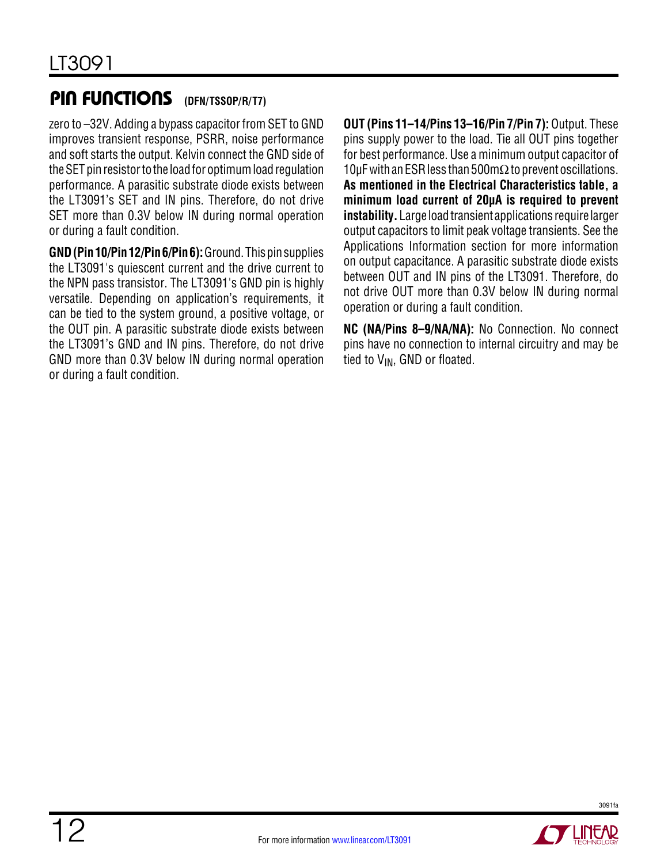### PIN FUNCTIONS **(DFN/TSSOP/R/T7)**

zero to –32V. Adding a bypass capacitor from SET to GND improves transient response, PSRR, noise performance and soft starts the output. Kelvin connect the GND side of the SET pin resistor to the load for optimum load regulation performance. A parasitic substrate diode exists between the LT3091's SET and IN pins. Therefore, do not drive SET more than 0.3V below IN during normal operation or during a fault condition.

**GND (Pin 10/Pin 12/Pin 6/Pin 6):** Ground. This pin supplies the LT3091's quiescent current and the drive current to the NPN pass transistor. The LT3091's GND pin is highly versatile. Depending on application's requirements, it can be tied to the system ground, a positive voltage, or the OUT pin. A parasitic substrate diode exists between the LT3091's GND and IN pins. Therefore, do not drive GND more than 0.3V below IN during normal operation or during a fault condition.

**OUT (Pins 11–14/Pins 13–16/Pin 7/Pin 7):** Output. These pins supply power to the load. Tie all OUT pins together for best performance. Use a minimum output capacitor of 10uF with an ESR less than 500m $\Omega$  to prevent oscillations. **As mentioned in the Electrical Characteristics table, a minimum load current of 20µA is required to prevent instability.** Large load transient applications require larger output capacitors to limit peak voltage transients. See the Applications Information section for more information on output capacitance. A parasitic substrate diode exists between OUT and IN pins of the LT3091. Therefore, do not drive OUT more than 0.3V below IN during normal operation or during a fault condition.

**NC (NA/Pins 8–9/NA/NA):** No Connection. No connect pins have no connection to internal circuitry and may be tied to  $V_{IN}$ , GND or floated.

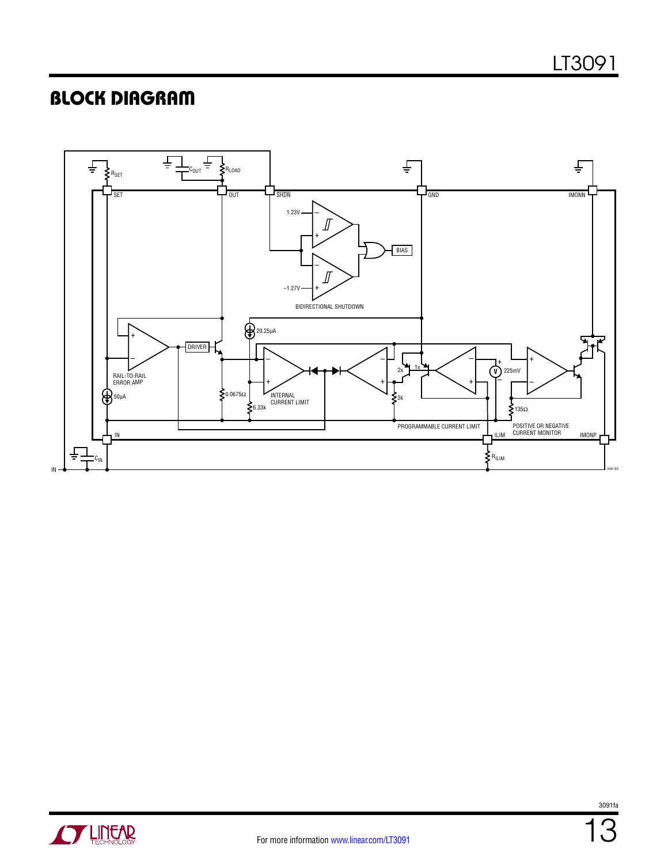### **BLOCK DIAGRAM**



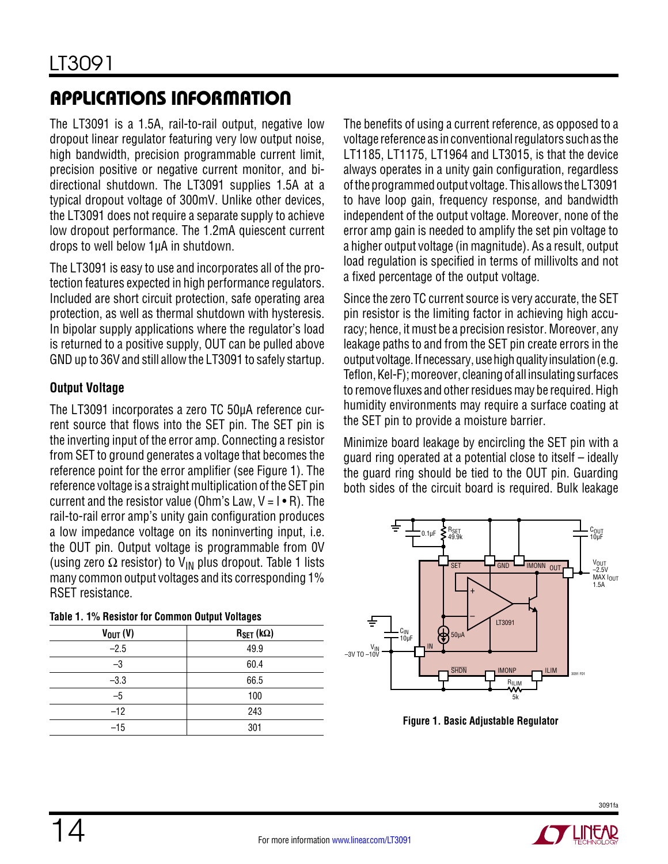The LT3091 is a 1.5A, rail-to-rail output, negative low dropout linear regulator featuring very low output noise, high bandwidth, precision programmable current limit, precision positive or negative current monitor, and bidirectional shutdown. The LT3091 supplies 1.5A at a typical dropout voltage of 300mV. Unlike other devices, the LT3091 does not require a separate supply to achieve low dropout performance. The 1.2mA quiescent current drops to well below 1µA in shutdown.

The LT3091 is easy to use and incorporates all of the protection features expected in high performance regulators. Included are short circuit protection, safe operating area protection, as well as thermal shutdown with hysteresis. In bipolar supply applications where the regulator's load is returned to a positive supply, OUT can be pulled above GND up to 36V and still allow the LT3091 to safely startup.

#### **Output Voltage**

The LT3091 incorporates a zero TC 50µA reference current source that flows into the SET pin. The SET pin is the inverting input of the error amp. Connecting a resistor from SET to ground generates a voltage that becomes the reference point for the error amplifier (see Figure 1). The reference voltage is a straight multiplication of the SET pin current and the resistor value (Ohm's Law,  $V = I \cdot R$ ). The rail-to-rail error amp's unity gain configuration produces a low impedance voltage on its noninverting input, i.e. the OUT pin. Output voltage is programmable from 0V (using zero  $\Omega$  resistor) to V<sub>IN</sub> plus dropout. Table 1 lists many common output voltages and its corresponding 1% RSET resistance.

| $V_{OUT} (V)$ | $R_{\text{SET}}$ (k $\Omega$ ) |
|---------------|--------------------------------|
| $-2.5$        | 49.9                           |
| $-3$          | 60.4                           |
| $-3.3$        | 66.5                           |
| $-5$          | 100                            |
| $-12$         | 243                            |
| $-15$         | 301                            |

The benefits of using a current reference, as opposed to a voltage reference as in conventional regulators such as the LT1185, LT1175, LT1964 and LT3015, is that the device always operates in a unity gain configuration, regardless of the programmed output voltage. This allows the LT3091 to have loop gain, frequency response, and bandwidth independent of the output voltage. Moreover, none of the error amp gain is needed to amplify the set pin voltage to a higher output voltage (in magnitude). As a result, output load regulation is specified in terms of millivolts and not a fixed percentage of the output voltage.

Since the zero TC current source is very accurate, the SET pin resistor is the limiting factor in achieving high accuracy; hence, it must be a precision resistor. Moreover, any leakage paths to and from the SET pin create errors in the output voltage. If necessary, use high quality insulation (e.g. Teflon, Kel-F); moreover, cleaning of all insulating surfaces to remove fluxes and other residues may be required. High humidity environments may require a surface coating at the SET pin to provide a moisture barrier.

Minimize board leakage by encircling the SET pin with a guard ring operated at a potential close to itself – ideally the guard ring should be tied to the OUT pin. Guarding both sides of the circuit board is required. Bulk leakage



**Figure 1. Basic Adjustable Regulator**

14

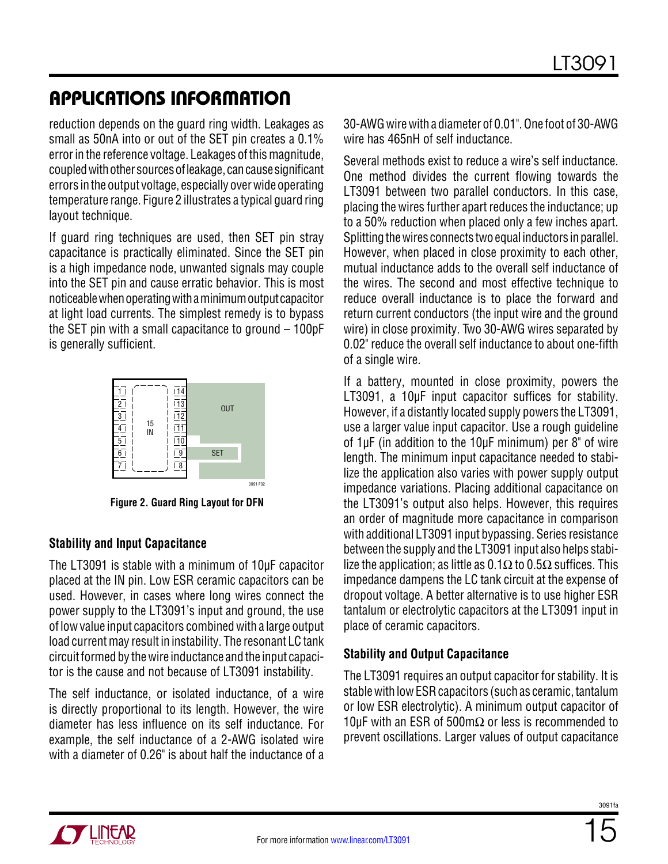reduction depends on the guard ring width. Leakages as small as 50nA into or out of the SET pin creates a 0.1% error in the reference voltage. Leakages of this magnitude, coupled with other sources of leakage, can cause significant errors in the output voltage, especially over wide operating temperature range. Figure 2 illustrates a typical guard ring layout technique.

If guard ring techniques are used, then SET pin stray capacitance is practically eliminated. Since the SET pin is a high impedance node, unwanted signals may couple into the SET pin and cause erratic behavior. This is most noticeable when operating with a minimum output capacitor at light load currents. The simplest remedy is to bypass the SET pin with a small capacitance to ground – 100pF is generally sufficient.



**Figure 2. Guard Ring Layout for DFN**

#### **Stability and Input Capacitance**

The LT3091 is stable with a minimum of 10µF capacitor placed at the IN pin. Low ESR ceramic capacitors can be used. However, in cases where long wires connect the power supply to the LT3091's input and ground, the use of low value input capacitors combined with a large output load current may result in instability. The resonant LC tank circuit formed by the wire inductance and the input capacitor is the cause and not because of LT3091 instability.

The self inductance, or isolated inductance, of a wire is directly proportional to its length. However, the wire diameter has less influence on its self inductance. For example, the self inductance of a 2-AWG isolated wire with a diameter of 0.26" is about half the inductance of a 30-AWG wire with a diameter of 0.01". One foot of 30-AWG wire has 465nH of self inductance.

Several methods exist to reduce a wire's self inductance. One method divides the current flowing towards the LT3091 between two parallel conductors. In this case, placing the wires further apart reduces the inductance; up to a 50% reduction when placed only a few inches apart. Splitting the wires connects two equal inductors in parallel. However, when placed in close proximity to each other, mutual inductance adds to the overall self inductance of the wires. The second and most effective technique to reduce overall inductance is to place the forward and return current conductors (the input wire and the ground wire) in close proximity. Two 30-AWG wires separated by 0.02" reduce the overall self inductance to about one-fifth of a single wire.

If a battery, mounted in close proximity, powers the LT3091, a 10µF input capacitor suffices for stability. However, if a distantly located supply powers the LT3091, use a larger value input capacitor. Use a rough guideline of 1µF (in addition to the 10µF minimum) per 8" of wire length. The minimum input capacitance needed to stabilize the application also varies with power supply output impedance variations. Placing additional capacitance on the LT3091's output also helps. However, this requires an order of magnitude more capacitance in comparison with additional LT3091 input bypassing. Series resistance between the supply and the LT3091 input also helps stabilize the application; as little as 0.1 $\Omega$  to 0.5 $\Omega$  suffices. This impedance dampens the LC tank circuit at the expense of dropout voltage. A better alternative is to use higher ESR tantalum or electrolytic capacitors at the LT3091 input in place of ceramic capacitors.

#### **Stability and Output Capacitance**

The LT3091 requires an output capacitor for stability. It is stable with low ESR capacitors (such as ceramic, tantalum or low ESR electrolytic). A minimum output capacitor of 10uF with an ESR of 500m $\Omega$  or less is recommended to prevent oscillations. Larger values of output capacitance

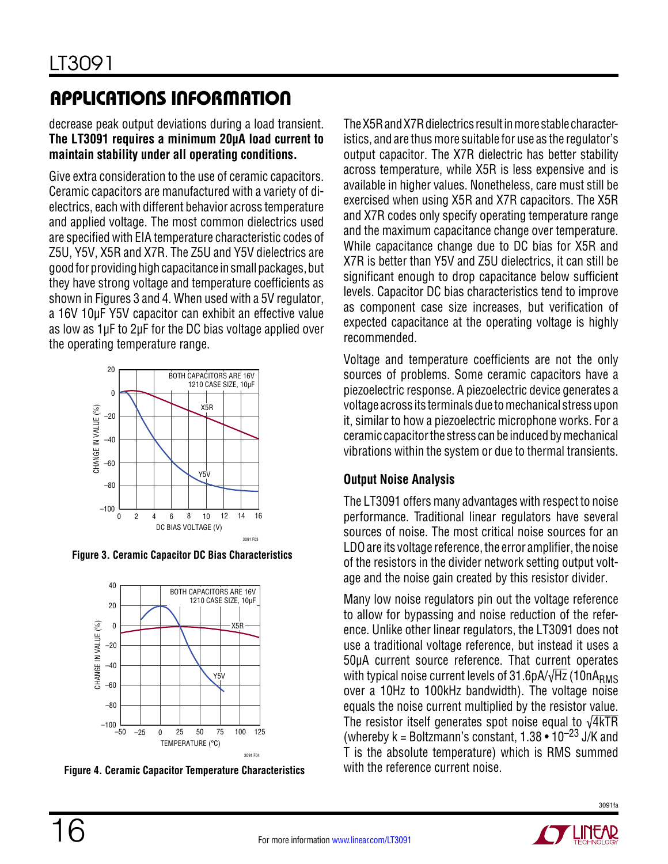decrease peak output deviations during a load transient. **The LT3091 requires a minimum 20µA load current to maintain stability under all operating conditions.**

Give extra consideration to the use of ceramic capacitors. Ceramic capacitors are manufactured with a variety of dielectrics, each with different behavior across temperature and applied voltage. The most common dielectrics used are specified with EIA temperature characteristic codes of Z5U, Y5V, X5R and X7R. The Z5U and Y5V dielectrics are good for providing high capacitance in small packages, but they have strong voltage and temperature coefficients as shown in Figures 3 and 4. When used with a 5V regulator, a 16V 10µF Y5V capacitor can exhibit an effective value as low as 1µF to 2µF for the DC bias voltage applied over the operating temperature range.



**Figure 3. Ceramic Capacitor DC Bias Characteristics** 



**Figure 4. Ceramic Capacitor Temperature Characteristics** 

The X5R and X7R dielectrics result in more stable characteristics, and are thus more suitable for use as the regulator's output capacitor. The X7R dielectric has better stability across temperature, while X5R is less expensive and is available in higher values. Nonetheless, care must still be exercised when using X5R and X7R capacitors. The X5R and X7R codes only specify operating temperature range and the maximum capacitance change over temperature. While capacitance change due to DC bias for X5R and X7R is better than Y5V and Z5U dielectrics, it can still be significant enough to drop capacitance below sufficient levels. Capacitor DC bias characteristics tend to improve as component case size increases, but verification of expected capacitance at the operating voltage is highly recommended.

Voltage and temperature coefficients are not the only sources of problems. Some ceramic capacitors have a piezoelectric response. A piezoelectric device generates a voltage across its terminals due to mechanical stress upon it, similar to how a piezoelectric microphone works. For a ceramic capacitor the stress can be induced by mechanical vibrations within the system or due to thermal transients.

#### **Output Noise Analysis**

The LT3091 offers many advantages with respect to noise performance. Traditional linear regulators have several sources of noise. The most critical noise sources for an LDO are its voltage reference, the error amplifier, the noise of the resistors in the divider network setting output voltage and the noise gain created by this resistor divider.

Many low noise regulators pin out the voltage reference to allow for bypassing and noise reduction of the reference. Unlike other linear regulators, the LT3091 does not use a traditional voltage reference, but instead it uses a 50µA current source reference. That current operates with typical noise current levels of 31.6pA/√Hz (10nARMS) over a 10Hz to 100kHz bandwidth). The voltage noise equals the noise current multiplied by the resistor value. The resistor itself generates spot noise equal to  $\sqrt{4kTR}$ (whereby  $k = Boltzmann's constant$ , 1.38 • 10<sup>-23</sup> J/K and T is the absolute temperature) which is RMS summed with the reference current noise.

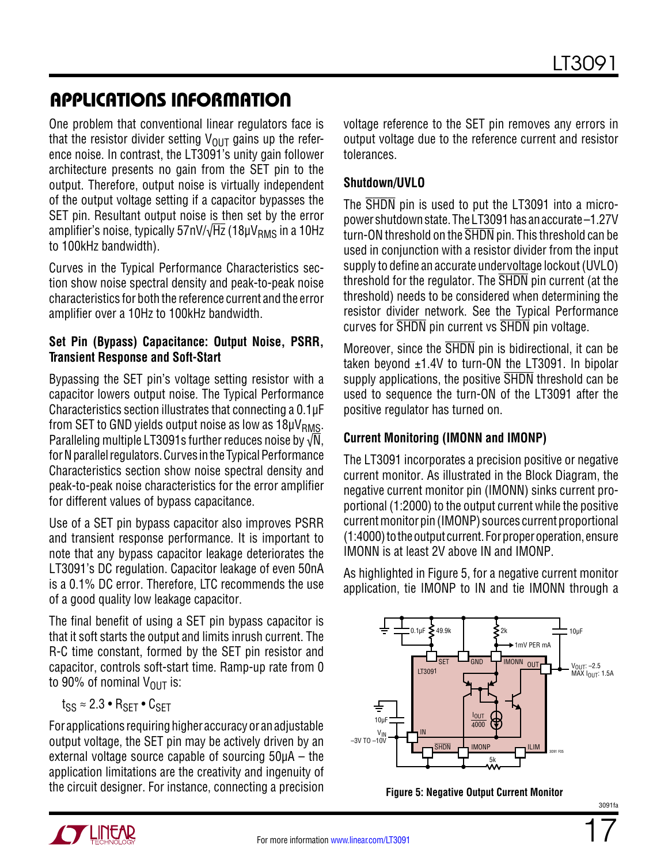One problem that conventional linear regulators face is that the resistor divider setting  $V_{OUT}$  gains up the reference noise. In contrast, the LT3091's unity gain follower architecture presents no gain from the SET pin to the output. Therefore, output noise is virtually independent of the output voltage setting if a capacitor bypasses the SET pin. Resultant output noise is then set by the error amplifier's noise, typically 57nV/ $\sqrt{Hz}$  (18µV<sub>RMS</sub> in a 10Hz to 100kHz bandwidth).

Curves in the Typical Performance Characteristics section show noise spectral density and peak-to-peak noise characteristics for both the reference current and the error amplifier over a 10Hz to 100kHz bandwidth.

#### **Set Pin (Bypass) Capacitance: Output Noise, PSRR, Transient Response and Soft-Start**

Bypassing the SET pin's voltage setting resistor with a capacitor lowers output noise. The Typical Performance Characteristics section illustrates that connecting a 0.1µF from SET to GND yields output noise as low as  $18 \mu V_{RMS}$ . Paralleling multiple LT3091s further reduces noise by  $\sqrt{N}$ . for N parallel regulators. Curves in the Typical Performance Characteristics section show noise spectral density and peak-to-peak noise characteristics for the error amplifier for different values of bypass capacitance.

Use of a SET pin bypass capacitor also improves PSRR and transient response performance. It is important to note that any bypass capacitor leakage deteriorates the LT3091's DC regulation. Capacitor leakage of even 50nA is a 0.1% DC error. Therefore, LTC recommends the use of a good quality low leakage capacitor.

The final benefit of using a SET pin bypass capacitor is that it soft starts the output and limits inrush current. The R-C time constant, formed by the SET pin resistor and capacitor, controls soft-start time. Ramp-up rate from 0 to 90% of nominal  $V_{\text{OUT}}$  is:

$$
t_{SS} \approx 2.3 \bullet R_{SET} \bullet C_{SET}
$$

For applications requiring higher accuracy or an adjustable output voltage, the SET pin may be actively driven by an external voltage source capable of sourcing 50µA – the application limitations are the creativity and ingenuity of the circuit designer. For instance, connecting a precision

voltage reference to the SET pin removes any errors in output voltage due to the reference current and resistor tolerances.

### **Shutdown/UVLO**

The SHDN pin is used to put the LT3091 into a micropower shutdown state. The LT3091 has an accurate –1.27V turn-ON threshold on the SHDN pin. This threshold can be used in conjunction with a resistor divider from the input supply to define an accurate undervoltage lockout (UVLO) threshold for the regulator. The SHDN pin current (at the threshold) needs to be considered when determining the resistor divider network. See the Typical Performance curves for SHDN pin current vs SHDN pin voltage.

Moreover, since the SHDN pin is bidirectional, it can be taken beyond  $\pm$ 1.4V to turn-ON the LT3091. In bipolar supply applications, the positive SHDN threshold can be used to sequence the turn-ON of the LT3091 after the positive regulator has turned on.

### **Current Monitoring (IMONN and IMONP)**

The LT3091 incorporates a precision positive or negative current monitor. As illustrated in the Block Diagram, the negative current monitor pin (IMONN) sinks current proportional (1:2000) to the output current while the positive current monitor pin (IMONP) sources current proportional (1:4000) to the output current. For proper operation, ensure IMONN is at least 2V above IN and IMONP.

As highlighted in Figure 5, for a negative current monitor application, tie IMONP to IN and tie IMONN through a







17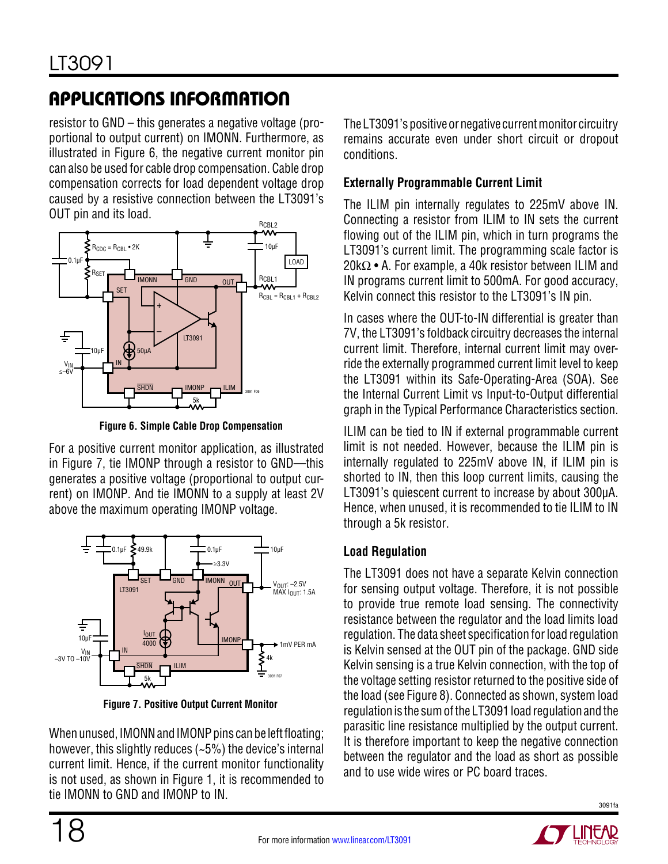resistor to GND – this generates a negative voltage (proportional to output current) on IMONN. Furthermore, as illustrated in Figure 6, the negative current monitor pin can also be used for cable drop compensation. Cable drop compensation corrects for load dependent voltage drop caused by a resistive connection between the LT3091's OUT pin and its load.



**Figure 6. Simple Cable Drop Compensation**

For a positive current monitor application, as illustrated in Figure 7, tie IMONP through a resistor to GND—this generates a positive voltage (proportional to output current) on IMONP. And tie IMONN to a supply at least 2V above the maximum operating IMONP voltage.



**Figure 7. Positive Output Current Monitor**

When unused, IMONN and IMONP pins can be left floating; however, this slightly reduces (~5%) the device's internal current limit. Hence, if the current monitor functionality is not used, as shown in Figure 1, it is recommended to tie IMONN to GND and IMONP to IN.

The LT3091's positive or negative current monitor circuitry remains accurate even under short circuit or dropout conditions.

### **Externally Programmable Current Limit**

The ILIM pin internally regulates to 225mV above IN. Connecting a resistor from ILIM to IN sets the current flowing out of the ILIM pin, which in turn programs the LT3091's current limit. The programming scale factor is 20k $\Omega \cdot A$ . For example, a 40k resistor between ILIM and IN programs current limit to 500mA. For good accuracy, Kelvin connect this resistor to the LT3091's IN pin.

In cases where the OUT-to-IN differential is greater than 7V, the LT3091's foldback circuitry decreases the internal current limit. Therefore, internal current limit may override the externally programmed current limit level to keep the LT3091 within its Safe-Operating-Area (SOA). See the Internal Current Limit vs Input-to-Output differential graph in the Typical Performance Characteristics section.

ILIM can be tied to IN if external programmable current limit is not needed. However, because the ILIM pin is internally regulated to 225mV above IN, if ILIM pin is shorted to IN, then this loop current limits, causing the LT3091's quiescent current to increase by about 300µA. Hence, when unused, it is recommended to tie ILIM to IN through a 5k resistor.

#### **Load Regulation**

The LT3091 does not have a separate Kelvin connection for sensing output voltage. Therefore, it is not possible to provide true remote load sensing. The connectivity resistance between the regulator and the load limits load regulation. The data sheet specification for load regulation is Kelvin sensed at the OUT pin of the package. GND side Kelvin sensing is a true Kelvin connection, with the top of the voltage setting resistor returned to the positive side of the load (see Figure 8). Connected as shown, system load regulation is the sum of the LT3091 load regulation and the parasitic line resistance multiplied by the output current. It is therefore important to keep the negative connection between the regulator and the load as short as possible and to use wide wires or PC board traces.

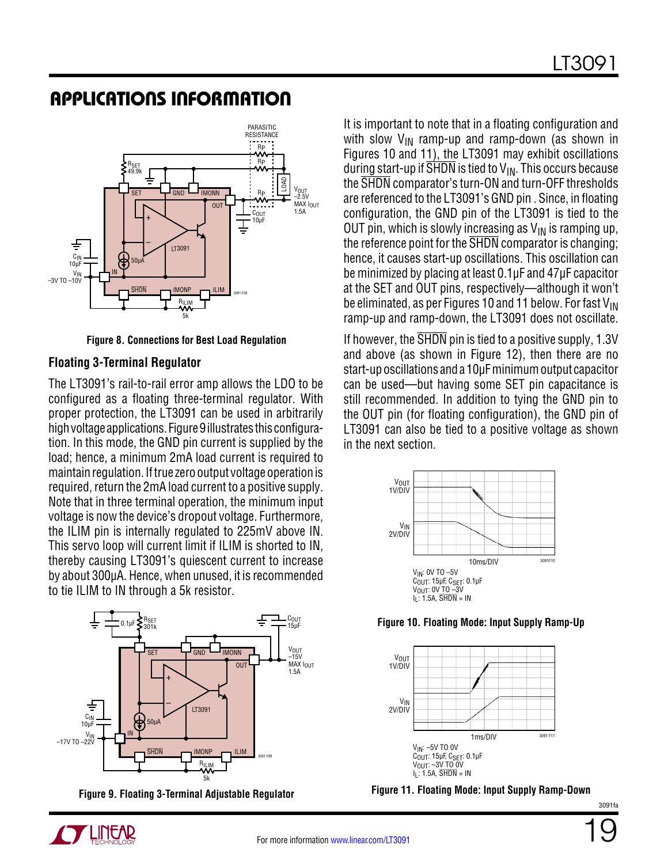

**Figure 8. Connections for Best Load Regulation**

#### **Floating 3-Terminal Regulator**

The LT3091's rail-to-rail error amp allows the LDO to be configured as a floating three-terminal regulator. With proper protection, the LT3091 can be used in arbitrarily high voltage applications. Figure 9 illustrates this configuration. In this mode, the GND pin current is supplied by the load; hence, a minimum 2mA load current is required to maintain regulation. If true zero output voltage operation is required, return the 2mA load current to a positive supply. Note that in three terminal operation, the minimum input voltage is now the device's dropout voltage. Furthermore, the ILIM pin is internally regulated to 225mV above IN. This servo loop will current limit if ILIM is shorted to IN, thereby causing LT3091's quiescent current to increase by about 300µA. Hence, when unused, it is recommended to tie ILIM to IN through a 5k resistor.



**Figure 9. Floating 3-Terminal Adjustable Regulator**

It is important to note that in a floating configuration and with slow  $V_{IN}$  ramp-up and ramp-down (as shown in Figures 10 and 11), the LT3091 may exhibit oscillations during start-up if  $\overline{\text{SHDN}}$  is tied to  $\mathsf{V}_{\textsf{IN}}$ . This occurs because the SHDN comparator's turn-ON and turn-OFF thresholds are referenced to the LT3091's GND pin . Since, in floating configuration, the GND pin of the LT3091 is tied to the OUT pin, which is slowly increasing as  $V_{IN}$  is ramping up, the reference point for the SHDN comparator is changing; hence, it causes start-up oscillations. This oscillation can be minimized by placing at least 0.1µF and 47µF capacitor at the SET and OUT pins, respectively—although it won't be eliminated, as per Figures 10 and 11 below. For fast V<sub>IN</sub> ramp-up and ramp-down, the LT3091 does not oscillate.

If however, the SHDN pin is tied to a positive supply, 1.3V and above (as shown in Figure 12), then there are no start-up oscillations and a 10µF minimum output capacitor can be used—but having some SET pin capacitance is still recommended. In addition to tying the GND pin to the OUT pin (for floating configuration), the GND pin of LT3091 can also be tied to a positive voltage as shown in the next section.



**Figure 10. Floating Mode: Input Supply Ramp-Up**



**Figure 11. Floating Mode: Input Supply Ramp-Down**

3091fa

19

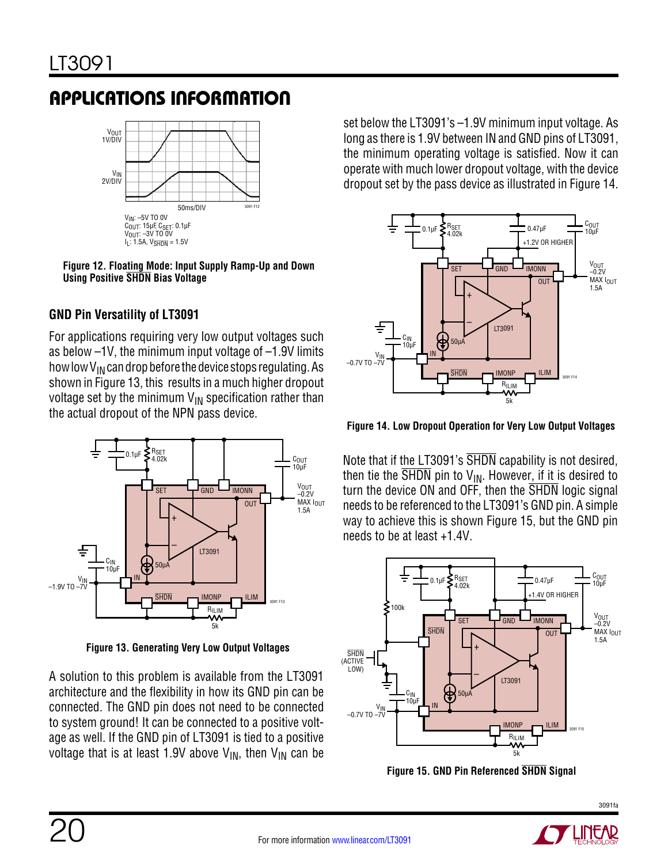

**Figure 12. Floating Mode: Input Supply Ramp-Up and Down Using Positive SHDN Bias Voltage**

### **GND Pin Versatility of LT3091**

For applications requiring very low output voltages such as below –1V, the minimum input voltage of –1.9V limits how low  $V_{IN}$  can drop before the device stops regulating. As shown in Figure 13, this results in a much higher dropout voltage set by the minimum  $V_{IN}$  specification rather than the actual dropout of the NPN pass device.



**Figure 13. Generating Very Low Output Voltages**

A solution to this problem is available from the LT3091 architecture and the flexibility in how its GND pin can be connected. The GND pin does not need to be connected to system ground! It can be connected to a positive voltage as well. If the GND pin of LT3091 is tied to a positive voltage that is at least 1.9V above  $V_{IN}$ , then  $V_{IN}$  can be set below the LT3091's –1.9V minimum input voltage. As long as there is 1.9V between IN and GND pins of LT3091, the minimum operating voltage is satisfied. Now it can operate with much lower dropout voltage, with the device dropout set by the pass device as illustrated in Figure 14.



**Figure 14. Low Dropout Operation for Very Low Output Voltages**

Note that if the LT3091's SHDN capability is not desired, then tie the  $\overline{\text{SHDN}}$  pin to  $V_{\text{IN}}$ . However, if it is desired to turn the device ON and OFF, then the SHDN logic signal needs to be referenced to the LT3091's GND pin. A simple way to achieve this is shown Figure 15, but the GND pin needs to be at least +1.4V.



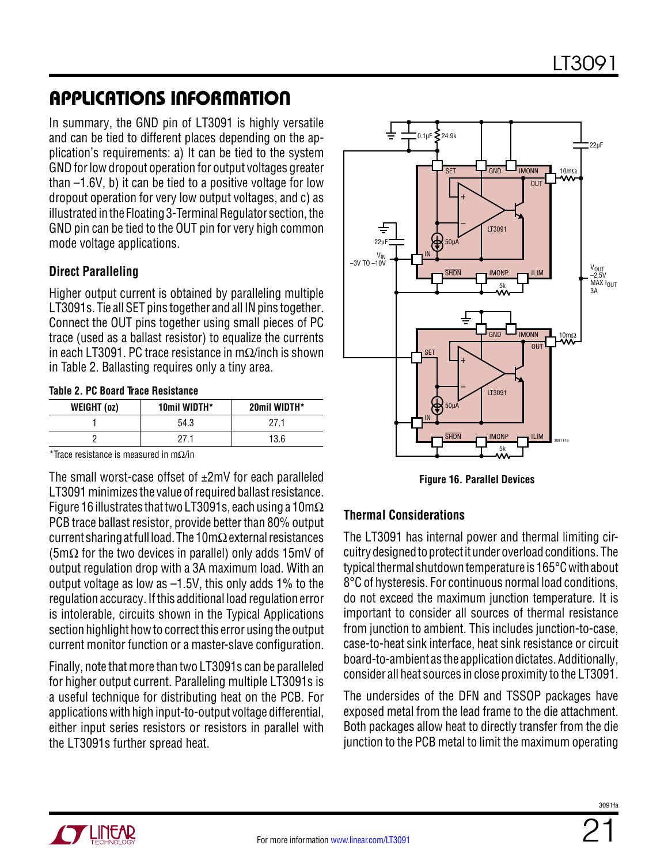In summary, the GND pin of LT3091 is highly versatile and can be tied to different places depending on the application's requirements: a) It can be tied to the system GND for low dropout operation for output voltages greater than –1.6V, b) it can be tied to a positive voltage for low dropout operation for very low output voltages, and c) as illustrated in the Floating 3-Terminal Regulator section, the GND pin can be tied to the OUT pin for very high common mode voltage applications.

#### **Direct Paralleling**

Higher output current is obtained by paralleling multiple LT3091s. Tie all SET pins together and all IN pins together. Connect the OUT pins together using small pieces of PC trace (used as a ballast resistor) to equalize the currents in each LT3091. PC trace resistance in mΩ/inch is shown in Table 2. Ballasting requires only a tiny area.

|  |  | <b>Table 2. PC Board Trace Resistance</b> |
|--|--|-------------------------------------------|
|  |  |                                           |

| WEIGHT (0z) | 10mil WIDTH* | 20mil WIDTH* |
|-------------|--------------|--------------|
|             | 54.3         |              |
|             |              | 13.6         |

\*Trace resistance is measured in mΩ/in

The small worst-case offset of ±2mV for each paralleled LT3091 minimizes the value of required ballast resistance. Figure 16 illustrates that two LT3091s, each using a 10m $\Omega$ PCB trace ballast resistor, provide better than 80% output current sharing at full load. The 10mΩ external resistances (5m $\Omega$  for the two devices in parallel) only adds 15mV of output regulation drop with a 3A maximum load. With an output voltage as low as –1.5V, this only adds 1% to the regulation accuracy. If this additional load regulation error is intolerable, circuits shown in the Typical Applications section highlight how to correct this error using the output current monitor function or a master-slave configuration.

Finally, note that more than two LT3091s can be paralleled for higher output current. Paralleling multiple LT3091s is a useful technique for distributing heat on the PCB. For applications with high input-to-output voltage differential, either input series resistors or resistors in parallel with the LT3091s further spread heat.



**Figure 16. Parallel Devices**

#### **Thermal Considerations**

The LT3091 has internal power and thermal limiting circuitry designed to protect it under overload conditions. The typical thermal shutdown temperature is 165°C with about 8°C of hysteresis. For continuous normal load conditions, do not exceed the maximum junction temperature. It is important to consider all sources of thermal resistance from junction to ambient. This includes junction-to-case, case-to-heat sink interface, heat sink resistance or circuit board-to-ambient as the application dictates. Additionally, consider all heat sources in close proximity to the LT3091.

The undersides of the DFN and TSSOP packages have exposed metal from the lead frame to the die attachment. Both packages allow heat to directly transfer from the die junction to the PCB metal to limit the maximum operating

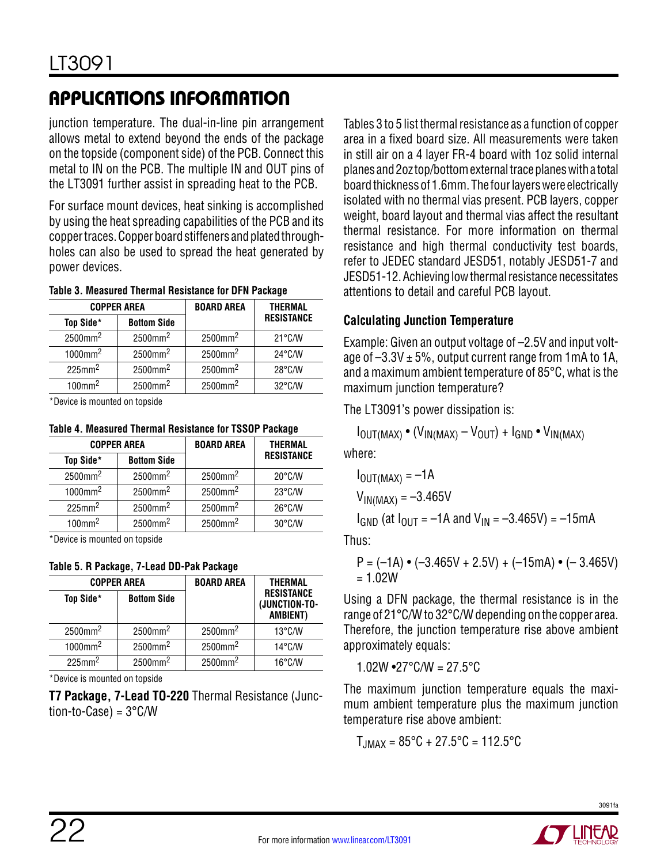junction temperature. The dual-in-line pin arrangement allows metal to extend beyond the ends of the package on the topside (component side) of the PCB. Connect this metal to IN on the PCB. The multiple IN and OUT pins of the LT3091 further assist in spreading heat to the PCB.

For surface mount devices, heat sinking is accomplished by using the heat spreading capabilities of the PCB and its copper traces. Copper board stiffeners and plated throughholes can also be used to spread the heat generated by power devices.

| <b>COPPER AREA</b>     |                        | <b>BOARD AREA</b>      | <b>THERMAL</b>    |  |
|------------------------|------------------------|------------------------|-------------------|--|
| Top Side*              | <b>Bottom Side</b>     |                        | <b>RESISTANCE</b> |  |
| $2500$ mm <sup>2</sup> | $2500$ mm <sup>2</sup> | $2500$ mm <sup>2</sup> | $21^{\circ}$ C/W  |  |
| $1000$ mm <sup>2</sup> | $2500$ mm <sup>2</sup> | $2500$ mm <sup>2</sup> | $24^{\circ}$ C/W  |  |
| $225$ mm <sup>2</sup>  | $2500$ mm <sup>2</sup> | 2500mm <sup>2</sup>    | $28^{\circ}$ C/W  |  |
| $100$ mm <sup>2</sup>  | $2500$ mm <sup>2</sup> | $2500$ mm <sup>2</sup> | $32^{\circ}$ C/W  |  |

#### **Table 3. Measured Thermal Resistance for DFN Package**

\*Device is mounted on topside

|  | Table 4. Measured Thermal Resistance for TSSOP Package |  |  |
|--|--------------------------------------------------------|--|--|
|  |                                                        |  |  |

| <b>COPPER AREA</b>     |                        | <b>BOARD AREA</b>      | <b>THERMAL</b>    |
|------------------------|------------------------|------------------------|-------------------|
| Top Side*              | <b>Bottom Side</b>     |                        | <b>RESISTANCE</b> |
| $2500$ mm <sup>2</sup> | $2500$ mm <sup>2</sup> | $2500$ mm <sup>2</sup> | $20^{\circ}$ C/W  |
| $1000$ mm <sup>2</sup> | $2500$ mm <sup>2</sup> | $2500$ mm <sup>2</sup> | $23^{\circ}$ C/W  |
| $225$ mm <sup>2</sup>  | 2500mm <sup>2</sup>    | $2500$ mm <sup>2</sup> | $26^{\circ}$ C/W  |
| $100$ mm <sup>2</sup>  | 2500mm <sup>2</sup>    | $2500$ mm <sup>2</sup> | $30^{\circ}$ C/W  |

\*Device is mounted on topside

**Table 5. R Package, 7-Lead DD-Pak Package**

| <b>COPPER AREA</b>     |                        | <b>BOARD AREA</b>      | <b>THFRMAI</b>                                         |  |
|------------------------|------------------------|------------------------|--------------------------------------------------------|--|
| Top Side*              | <b>Bottom Side</b>     |                        | <b>RESISTANCE</b><br>(JUNCTION-TO-<br><b>AMBIENT</b> ) |  |
| $2500$ mm <sup>2</sup> | $2500$ mm <sup>2</sup> | $2500$ mm <sup>2</sup> | $13^{\circ}$ C/W                                       |  |
| $1000$ mm <sup>2</sup> | $2500$ mm <sup>2</sup> | $2500$ mm <sup>2</sup> | $14^{\circ}$ C/W                                       |  |
| $225$ mm <sup>2</sup>  | 2500mm <sup>2</sup>    | $2500$ mm <sup>2</sup> | $16^{\circ}$ C/W                                       |  |

\*Device is mounted on topside

**T7 Package, 7-Lead TO-220** Thermal Resistance (Junc $tion-to-Case$ ) =  $3^{\circ}$ C/W

Tables 3 to 5 list thermal resistance as a function of copper area in a fixed board size. All measurements were taken in still air on a 4 layer FR-4 board with 1oz solid internal planes and 2oz top/bottom external trace planes with a total board thickness of 1.6mm. The four layers were electrically isolated with no thermal vias present. PCB layers, copper weight, board layout and thermal vias affect the resultant thermal resistance. For more information on thermal resistance and high thermal conductivity test boards, refer to JEDEC standard JESD51, notably JESD51-7 and JESD51-12. Achieving low thermal resistance necessitates attentions to detail and careful PCB layout.

#### **Calculating Junction Temperature**

Example: Given an output voltage of –2.5V and input voltage of  $-3.3V \pm 5$ %, output current range from 1mA to 1A, and a maximum ambient temperature of 85°C, what is the maximum junction temperature?

The LT3091's power dissipation is:

 $I_{\text{OUT}(MAX)}$  •  $(V_{\text{IN}(MAX)} - V_{\text{OUT}}) + I_{\text{GND}}$  •  $V_{\text{IN}(MAX)}$ 

where:

$$
I_{OUT(MAX)} = -1A
$$

 $V_{IN(MAX)} = -3.465V$ 

 $I_{GND}$  (at  $I_{OUT} = -1A$  and  $V_{IN} = -3.465V$ ) = -15mA

Thus:

$$
P = (-1A) \cdot (-3.465V + 2.5V) + (-15mA) \cdot (-3.465V)
$$
  
= 1.02W

Using a DFN package, the thermal resistance is in the range of 21°C/W to 32°C/W depending on the copper area. Therefore, the junction temperature rise above ambient approximately equals:

1.02W •27°C/W = 27.5°C

The maximum junction temperature equals the maximum ambient temperature plus the maximum junction temperature rise above ambient:

$$
T_{JMAX} = 85^{\circ}C + 27.5^{\circ}C = 112.5^{\circ}C
$$

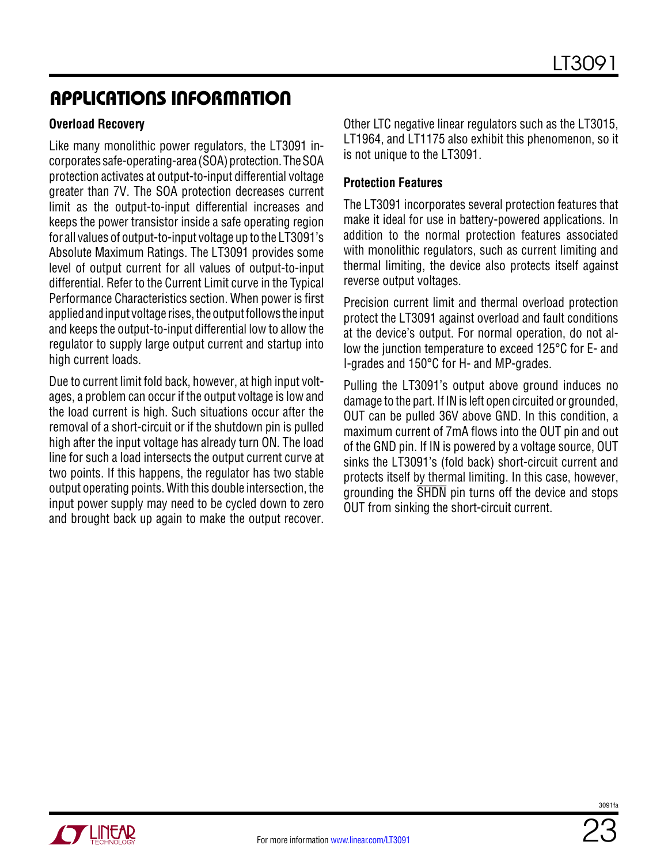#### **Overload Recovery**

Like many monolithic power regulators, the LT3091 incorporates safe-operating-area (SOA) protection. The SOA protection activates at output-to-input differential voltage greater than 7V. The SOA protection decreases current limit as the output-to-input differential increases and keeps the power transistor inside a safe operating region for all values of output-to-input voltage up to the LT3091's Absolute Maximum Ratings. The LT3091 provides some level of output current for all values of output-to-input differential. Refer to the Current Limit curve in the Typical Performance Characteristics section. When power is first applied and input voltage rises, the output follows the input and keeps the output-to-input differential low to allow the regulator to supply large output current and startup into high current loads.

Due to current limit fold back, however, at high input voltages, a problem can occur if the output voltage is low and the load current is high. Such situations occur after the removal of a short-circuit or if the shutdown pin is pulled high after the input voltage has already turn ON. The load line for such a load intersects the output current curve at two points. If this happens, the regulator has two stable output operating points. With this double intersection, the input power supply may need to be cycled down to zero and brought back up again to make the output recover.

Other LTC negative linear regulators such as the LT3015, LT1964, and LT1175 also exhibit this phenomenon, so it is not unique to the LT3091.

#### **Protection Features**

The LT3091 incorporates several protection features that make it ideal for use in battery-powered applications. In addition to the normal protection features associated with monolithic regulators, such as current limiting and thermal limiting, the device also protects itself against reverse output voltages.

Precision current limit and thermal overload protection protect the LT3091 against overload and fault conditions at the device's output. For normal operation, do not allow the junction temperature to exceed 125°C for E- and I-grades and 150°C for H- and MP-grades.

Pulling the LT3091's output above ground induces no damage to the part. If IN is left open circuited or grounded, OUT can be pulled 36V above GND. In this condition, a maximum current of 7mA flows into the OUT pin and out of the GND pin. If IN is powered by a voltage source, OUT sinks the LT3091's (fold back) short-circuit current and protects itself by thermal limiting. In this case, however, grounding the SHDN pin turns off the device and stops OUT from sinking the short-circuit current.

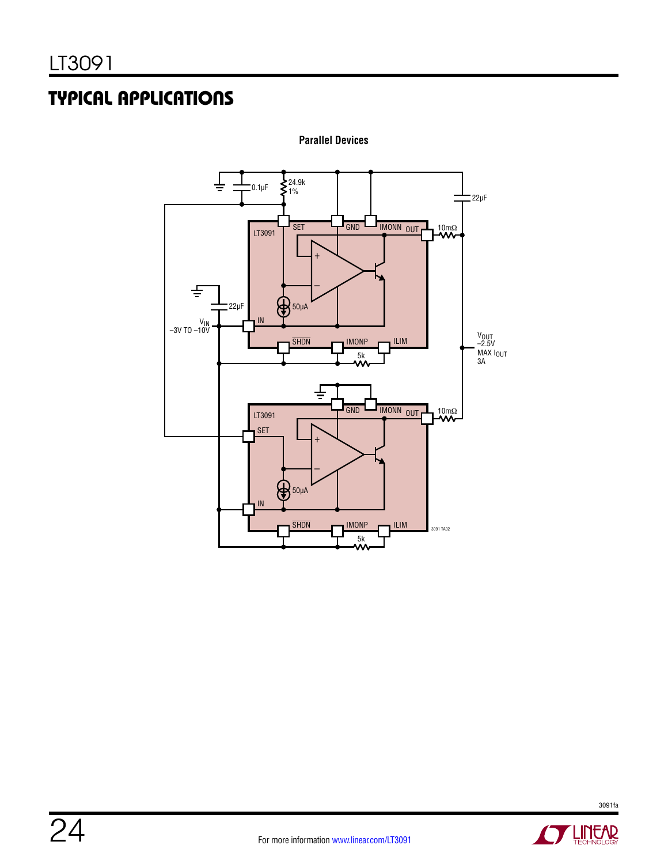

**Parallel Devices** 





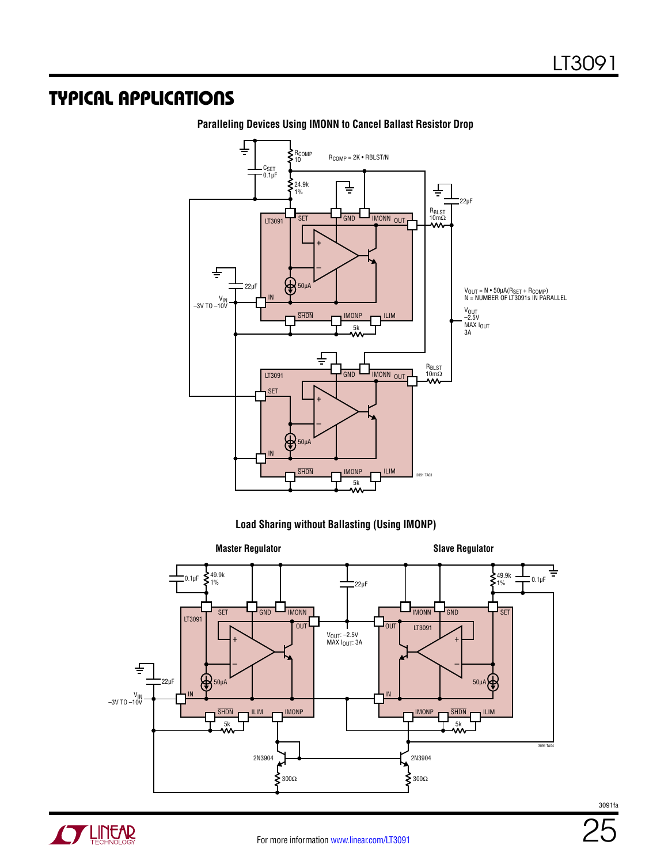

**Paralleling Devices Using IMONN to Cancel Ballast Resistor Drop**

**Load Sharing without Ballasting (Using IMONP)**



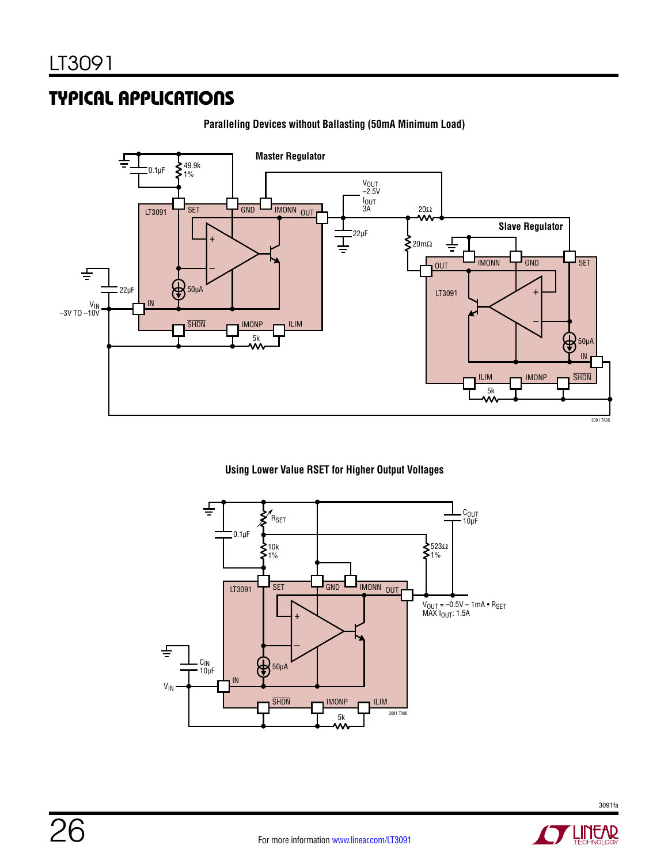

**Paralleling Devices without Ballasting (50mA Minimum Load)**

#### **Using Lower Value RSET for Higher Output Voltages**



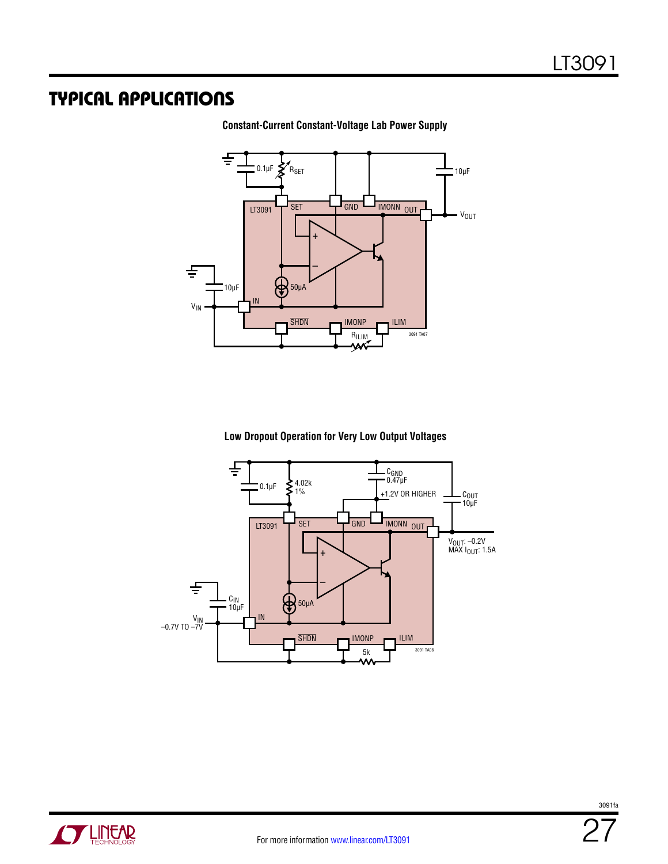

**Constant-Current Constant-Voltage Lab Power Supply**

**Low Dropout Operation for Very Low Output Voltages**



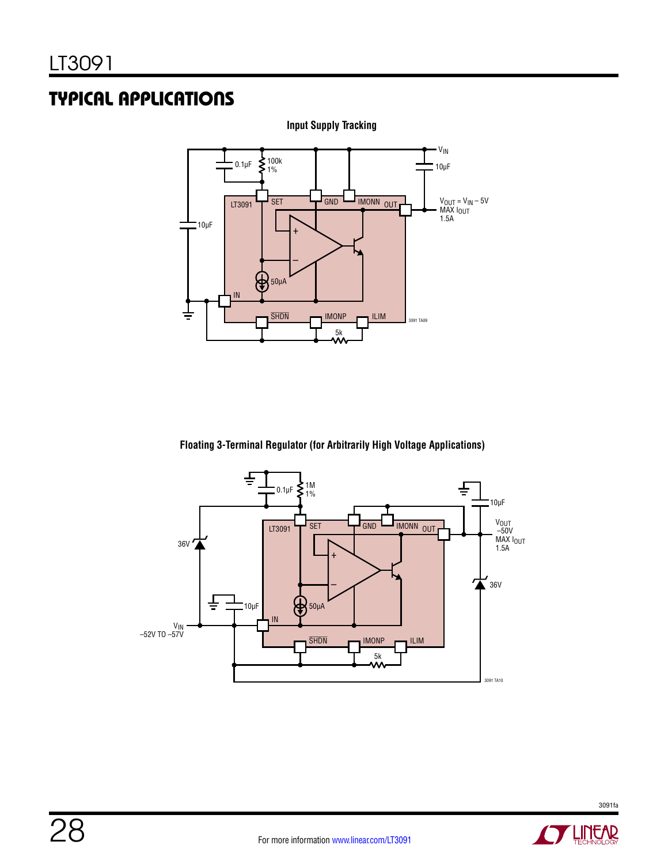

**Input Supply Tracking**

**Floating 3-Terminal Regulator (for Arbitrarily High Voltage Applications)**

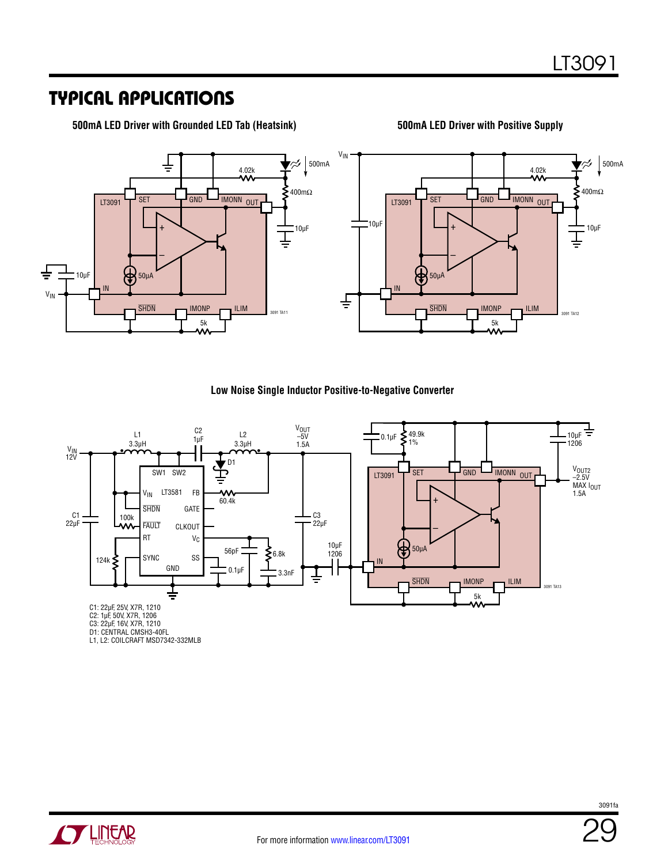**500mA LED Driver with Grounded LED Tab (Heatsink) 500mA LED Driver with Positive Supply**



#### **Low Noise Single Inductor Positive-to-Negative Converter**



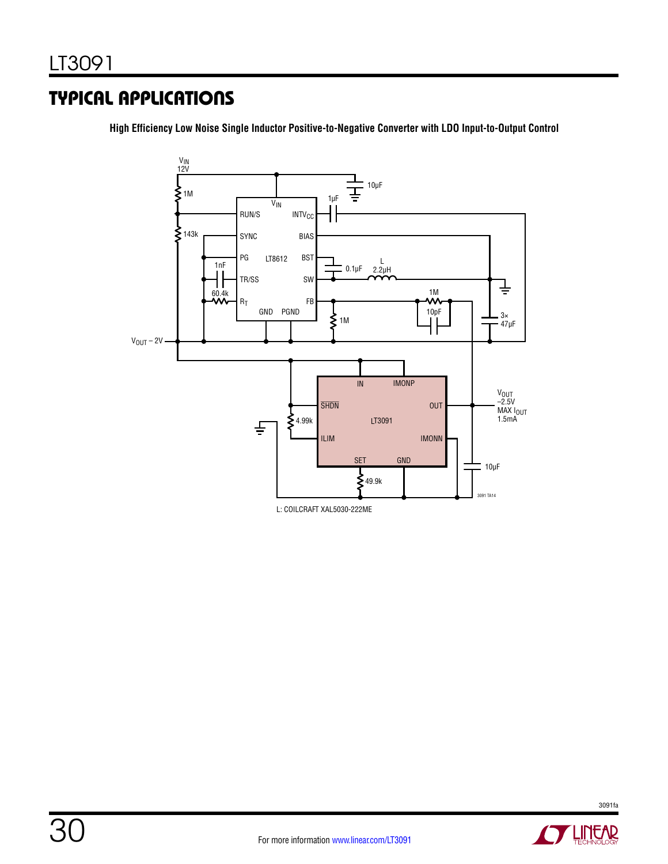**High Efficiency Low Noise Single Inductor Positive-to-Negative Converter with LDO Input-to-Output Control**



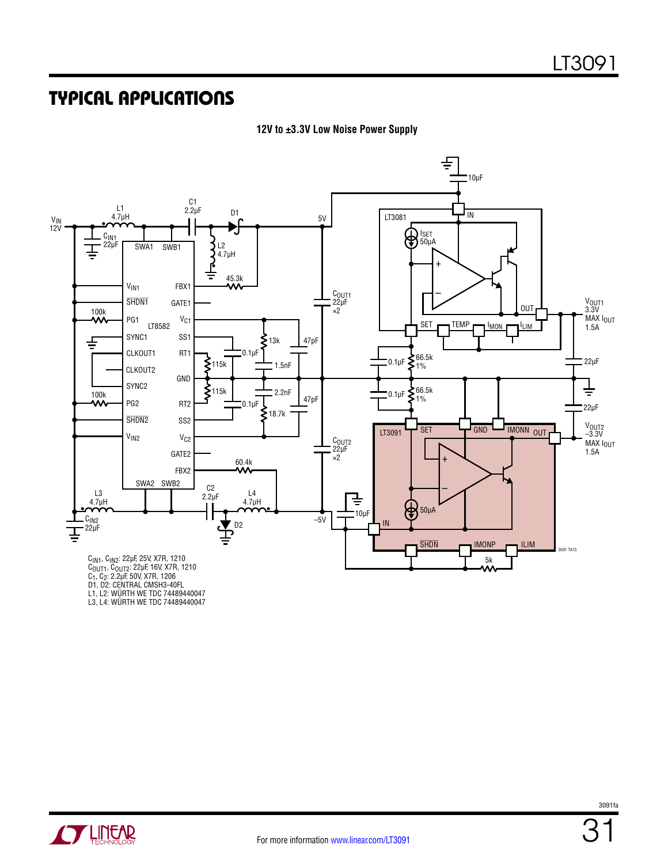#### **12V to ±3.3V Low Noise Power Supply**



C<sub>1</sub>, C<sub>2</sub>: 2.2μF, 50V, X7R, 1206<br>D1, D2: CENTRAL CMSH3-40FL

L1, L2: WÜRTH WE TDC 74489440047

L3, L4: WÜRTH WE TDC 74489440047

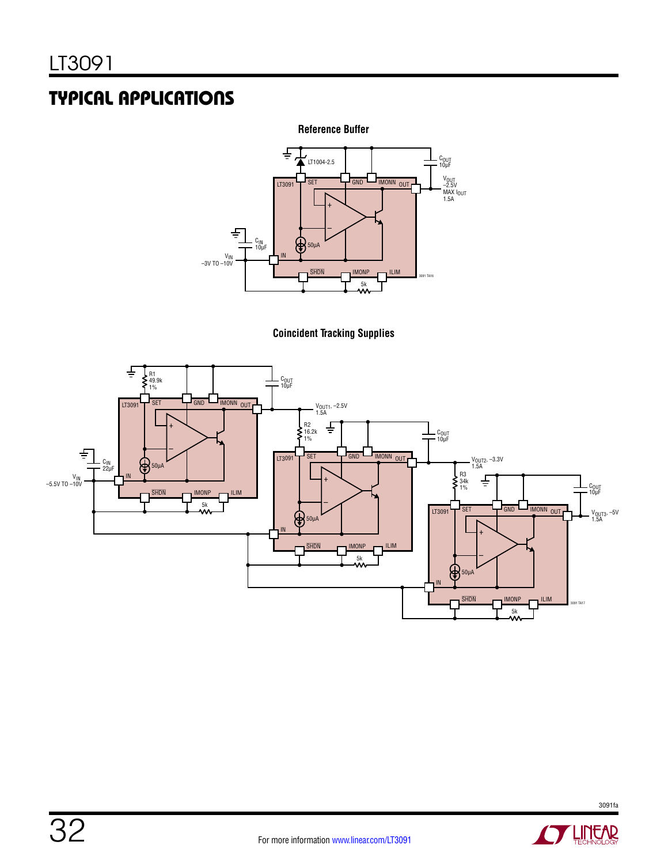





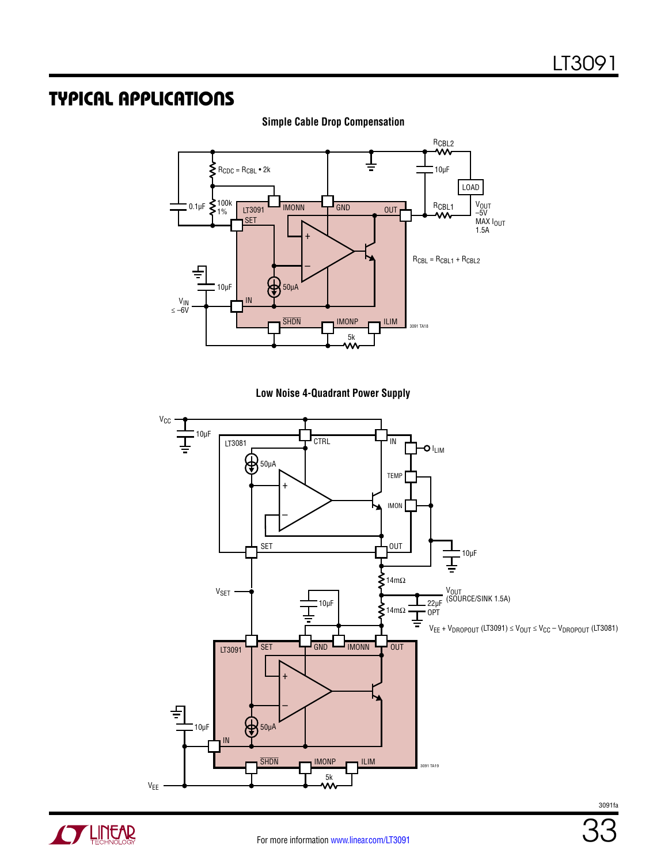

**Simple Cable Drop Compensation**

**Low Noise 4-Quadrant Power Supply**



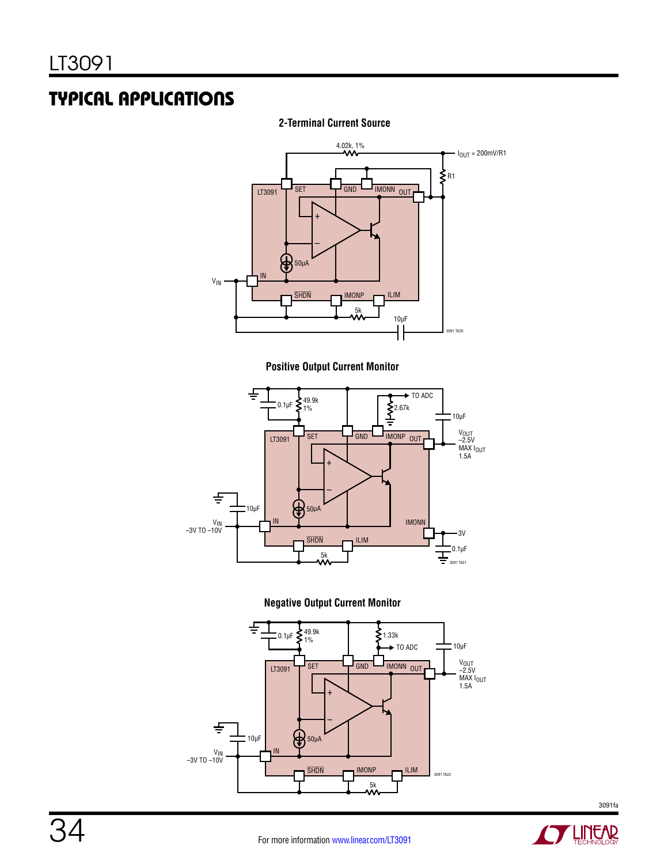#### **2-Terminal Current Source**



**Positive Output Current Monitor**



**Negative Output Current Monitor**



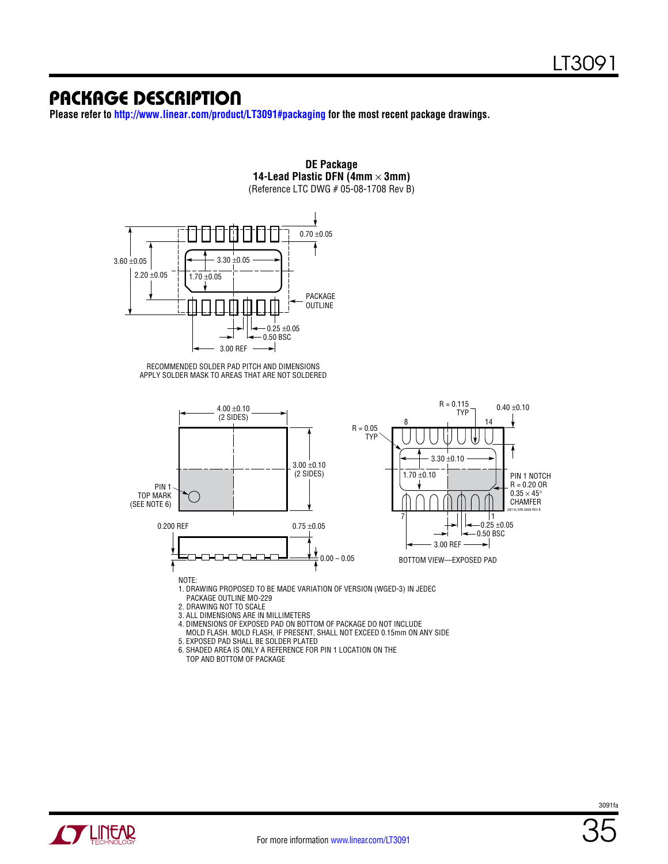**Please refer to <http://www.linear.com/product/LT3091#packaging>for the most recent package drawings.**



**DE Package**

6. SHADED AREA IS ONLY A REFERENCE FOR PIN 1 LOCATION ON THE

TOP AND BOTTOM OF PACKAGE

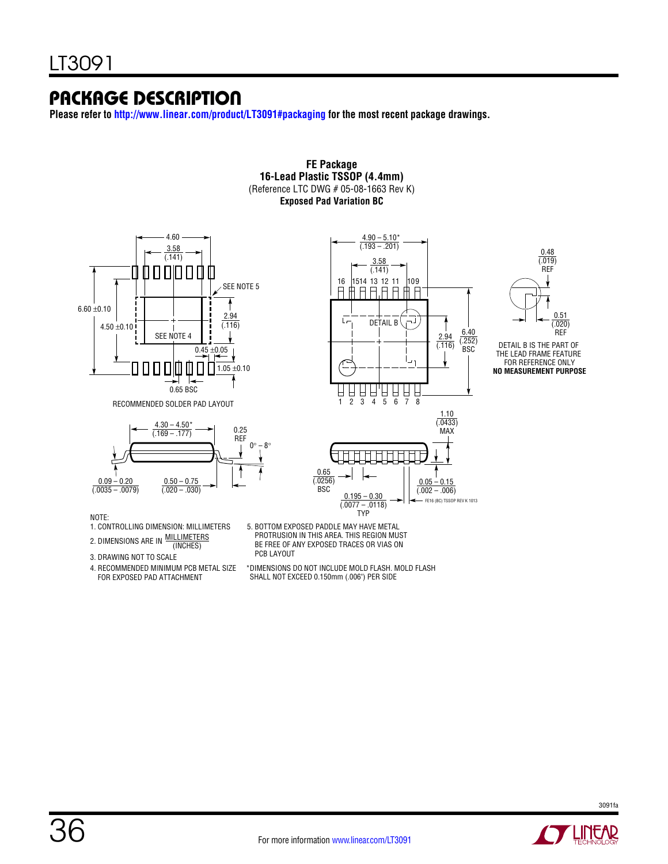**Please refer to <http://www.linear.com/product/LT3091#packaging>for the most recent package drawings.**



RECOMMENDED SOLDER PAD LAYOUT





 $4.90 - 5.10*$  $(193 - 0.201)$ 

**FE Package 16-Lead Plastic TSSOP (4.4mm)** (Reference LTC DWG # 05-08-1663 Rev K) **Exposed Pad Variation BC**

3.58

0.48  $(019)$ REF 0.51 (.020) REF

DETAIL B IS THE PART OF THE LEAD FRAME FEATURE FOR REFERENCE ONLY **NO MEASUREMENT PURPOSE**

#### NOTE:

- 1. CONTROLLING DIMENSION: MILLIMETERS
- MILLIMETERS 2. DIMENSIONS ARE IN WILLINGTER
- 3. DRAWING NOT TO SCALE
- 4. RECOMMENDED MINIMUM PCB METAL SIZE FOR EXPOSED PAD ATTACHMENT
- 5. BOTTOM EXPOSED PADDLE MAY HAVE METAL PROTRUSION IN THIS AREA. THIS REGION MUST BE FREE OF ANY EXPOSED TRACES OR VIAS ON PCB LAYOUT
- \*DIMENSIONS DO NOT INCLUDE MOLD FLASH. MOLD FLASH SHALL NOT EXCEED 0.150mm (.006") PER SIDE

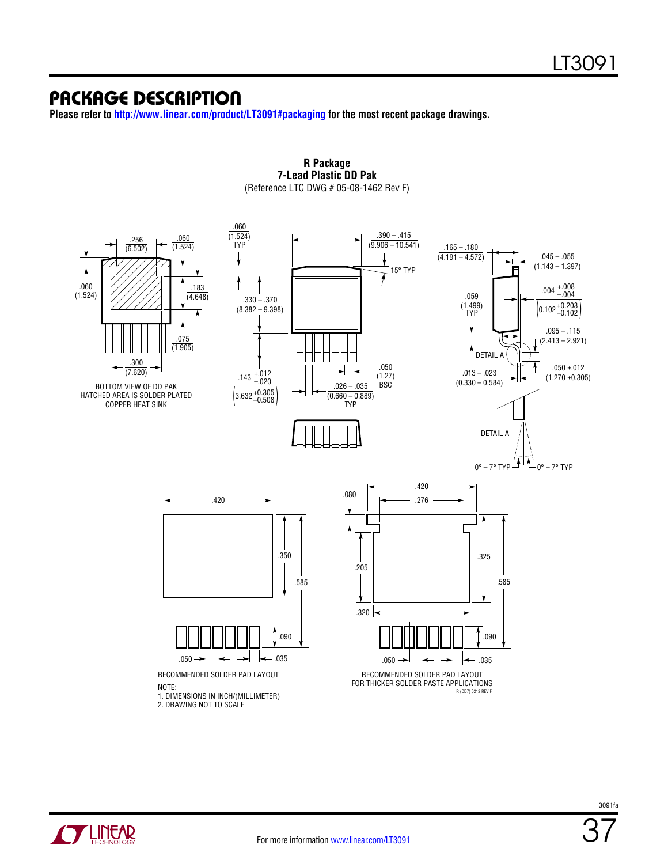**Please refer to <http://www.linear.com/product/LT3091#packaging>for the most recent package drawings.**



#### **R Package 7-Lead Plastic DD Pak** (Reference LTC DWG # 05-08-1462 Rev F)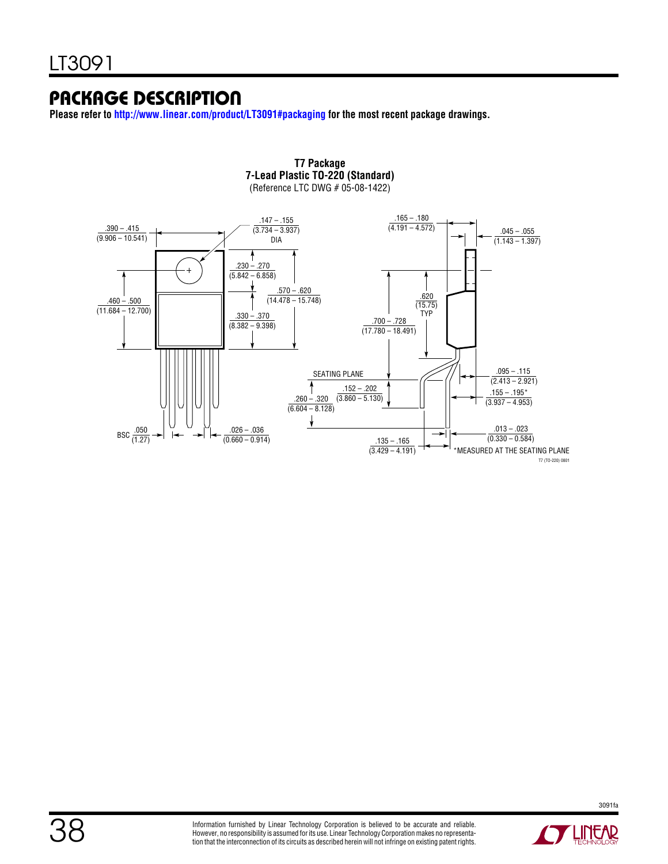**Please refer to <http://www.linear.com/product/LT3091#packaging>for the most recent package drawings.**

![](_page_37_Figure_3.jpeg)

**T7 Package 7-Lead Plastic TO-220 (Standard)**

![](_page_37_Picture_7.jpeg)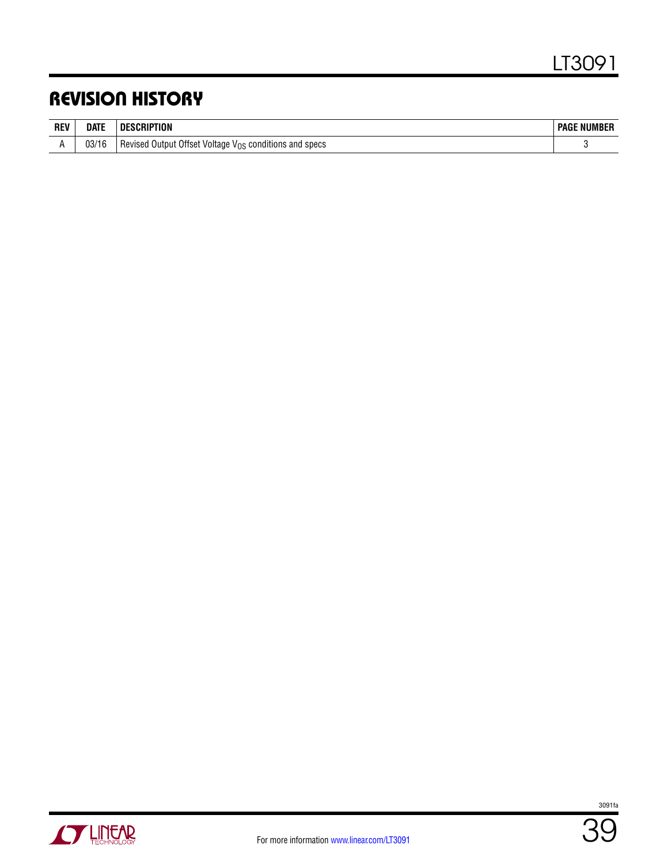### Revision History

| <b>REV</b> | DATE                                                                               | <b>DESCRIPTION</b> | <b>PAGE NUMBER</b> |
|------------|------------------------------------------------------------------------------------|--------------------|--------------------|
|            | 03/16<br>$_1$ Revised Output Offset Voltage $\mathrm{V_{OS}}$ conditions and specs |                    |                    |

| FCHNOLOGY |
|-----------|
|           |